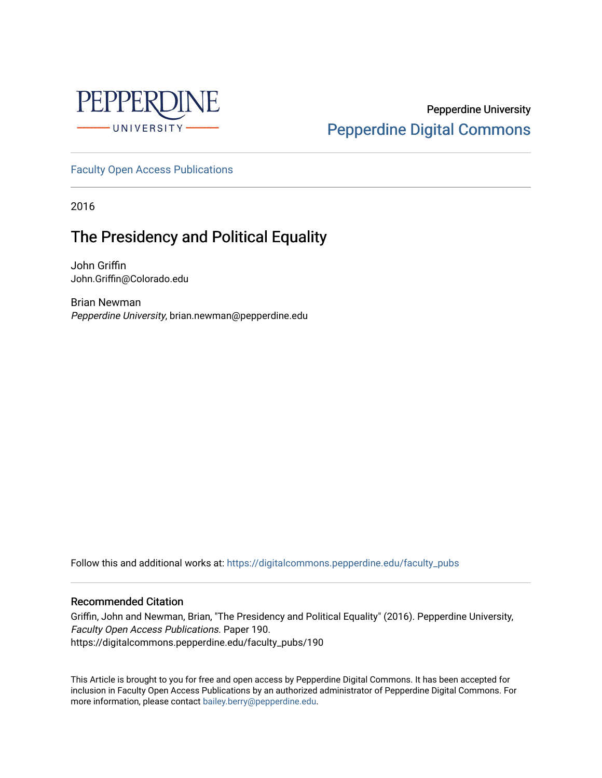

# Pepperdine University [Pepperdine Digital Commons](https://digitalcommons.pepperdine.edu/)

[Faculty Open Access Publications](https://digitalcommons.pepperdine.edu/faculty_pubs)

2016

# The Presidency and Political Equality

John Griffin John.Griffin@Colorado.edu

Brian Newman Pepperdine University, brian.newman@pepperdine.edu

Follow this and additional works at: [https://digitalcommons.pepperdine.edu/faculty\\_pubs](https://digitalcommons.pepperdine.edu/faculty_pubs?utm_source=digitalcommons.pepperdine.edu%2Ffaculty_pubs%2F190&utm_medium=PDF&utm_campaign=PDFCoverPages)

#### Recommended Citation

Griffin, John and Newman, Brian, "The Presidency and Political Equality" (2016). Pepperdine University, Faculty Open Access Publications. Paper 190. https://digitalcommons.pepperdine.edu/faculty\_pubs/190

This Article is brought to you for free and open access by Pepperdine Digital Commons. It has been accepted for inclusion in Faculty Open Access Publications by an authorized administrator of Pepperdine Digital Commons. For more information, please contact [bailey.berry@pepperdine.edu.](mailto:bailey.berry@pepperdine.edu)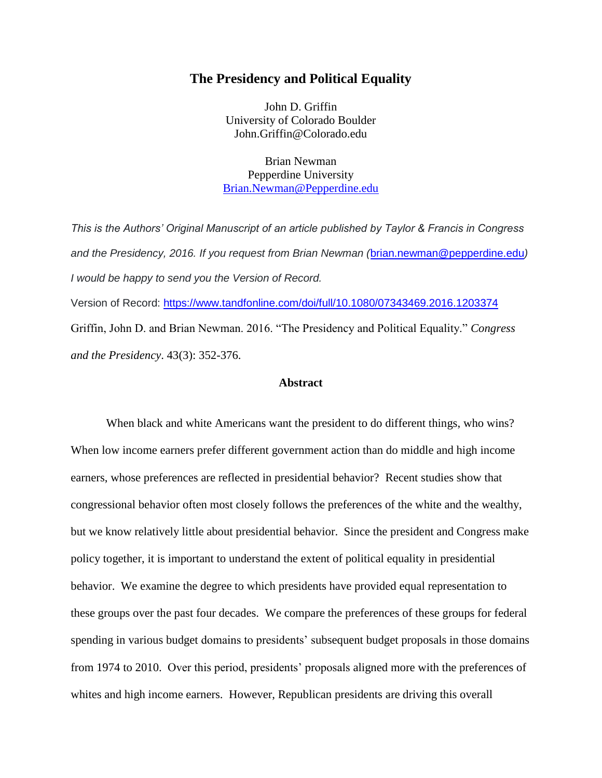# **The Presidency and Political Equality**

John D. Griffin University of Colorado Boulder John.Griffin@Colorado.edu

Brian Newman Pepperdine University [Brian.Newman@Pepperdine.edu](mailto:Brian.Newman@Pepperdine.edu)

*This is the Authors' Original Manuscript of an article published by Taylor & Francis in Congress and the Presidency, 2016. If you request from Brian Newman (*[brian.newman@pepperdine.edu](mailto:brian.newman@pepperdine.edu)*) I would be happy to send you the Version of Record.* Version of Record:<https://www.tandfonline.com/doi/full/10.1080/07343469.2016.1203374> Griffin, John D. and Brian Newman. 2016. "The Presidency and Political Equality." *Congress* 

*and the Presidency*. 43(3): 352-376.

# **Abstract**

When black and white Americans want the president to do different things, who wins? When low income earners prefer different government action than do middle and high income earners, whose preferences are reflected in presidential behavior? Recent studies show that congressional behavior often most closely follows the preferences of the white and the wealthy, but we know relatively little about presidential behavior. Since the president and Congress make policy together, it is important to understand the extent of political equality in presidential behavior. We examine the degree to which presidents have provided equal representation to these groups over the past four decades. We compare the preferences of these groups for federal spending in various budget domains to presidents' subsequent budget proposals in those domains from 1974 to 2010. Over this period, presidents' proposals aligned more with the preferences of whites and high income earners. However, Republican presidents are driving this overall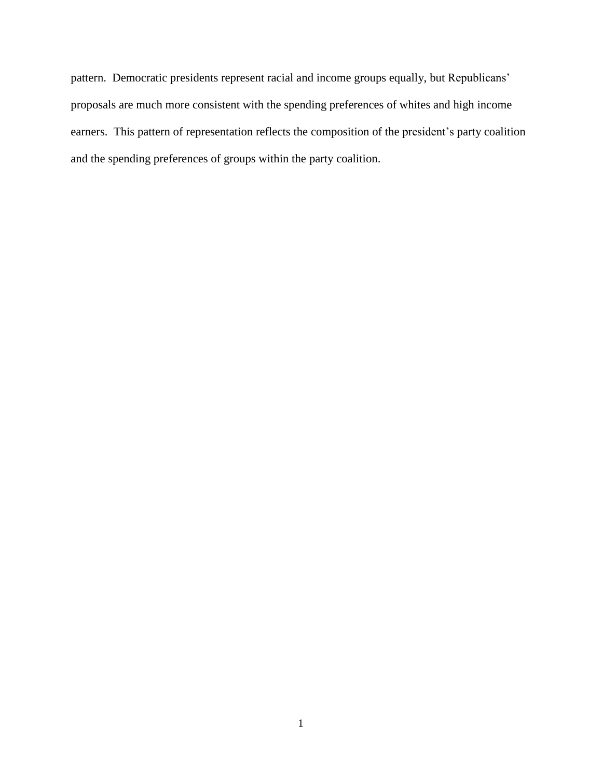pattern. Democratic presidents represent racial and income groups equally, but Republicans' proposals are much more consistent with the spending preferences of whites and high income earners. This pattern of representation reflects the composition of the president's party coalition and the spending preferences of groups within the party coalition.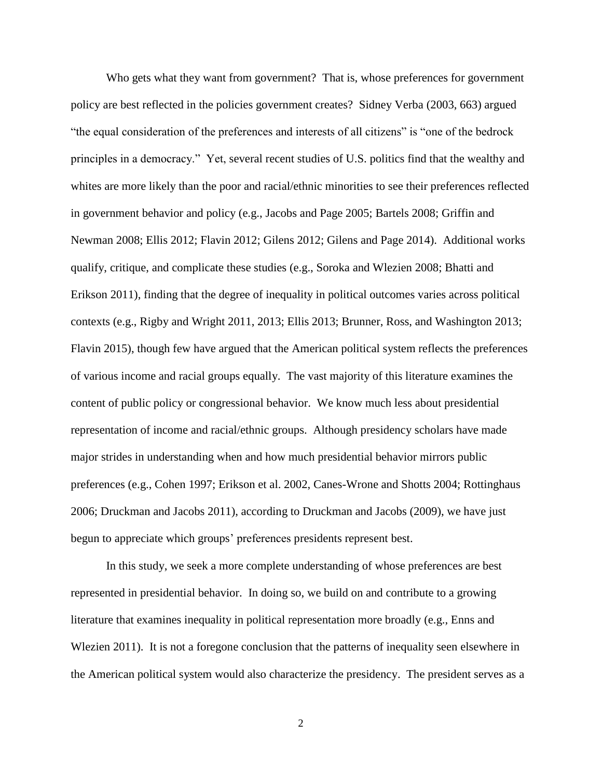Who gets what they want from government? That is, whose preferences for government policy are best reflected in the policies government creates? Sidney Verba (2003, 663) argued "the equal consideration of the preferences and interests of all citizens" is "one of the bedrock principles in a democracy." Yet, several recent studies of U.S. politics find that the wealthy and whites are more likely than the poor and racial/ethnic minorities to see their preferences reflected in government behavior and policy (e.g., Jacobs and Page 2005; Bartels 2008; Griffin and Newman 2008; Ellis 2012; Flavin 2012; Gilens 2012; Gilens and Page 2014). Additional works qualify, critique, and complicate these studies (e.g., Soroka and Wlezien 2008; Bhatti and Erikson 2011), finding that the degree of inequality in political outcomes varies across political contexts (e.g., Rigby and Wright 2011, 2013; Ellis 2013; Brunner, Ross, and Washington 2013; Flavin 2015), though few have argued that the American political system reflects the preferences of various income and racial groups equally. The vast majority of this literature examines the content of public policy or congressional behavior. We know much less about presidential representation of income and racial/ethnic groups. Although presidency scholars have made major strides in understanding when and how much presidential behavior mirrors public preferences (e.g., Cohen 1997; Erikson et al. 2002, Canes-Wrone and Shotts 2004; Rottinghaus 2006; Druckman and Jacobs 2011), according to Druckman and Jacobs (2009), we have just begun to appreciate which groups' preferences presidents represent best.

In this study, we seek a more complete understanding of whose preferences are best represented in presidential behavior. In doing so, we build on and contribute to a growing literature that examines inequality in political representation more broadly (e.g., Enns and Wlezien 2011). It is not a foregone conclusion that the patterns of inequality seen elsewhere in the American political system would also characterize the presidency. The president serves as a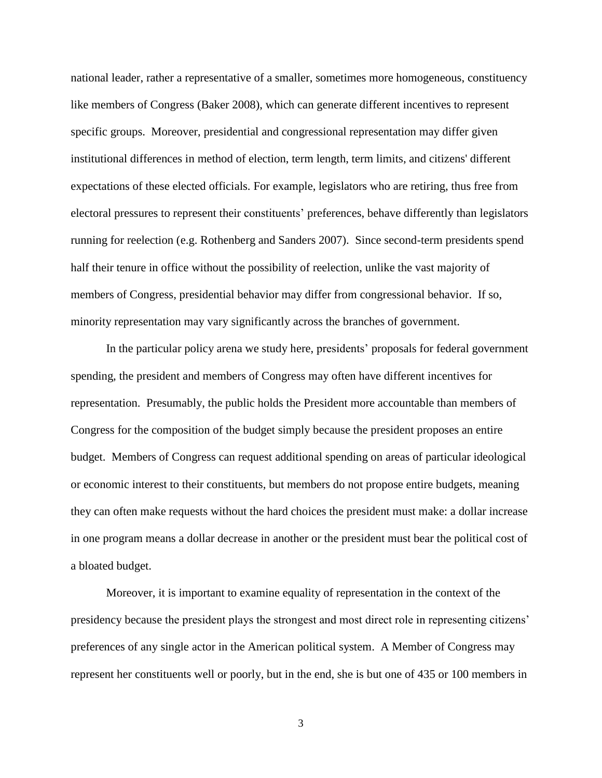national leader, rather a representative of a smaller, sometimes more homogeneous, constituency like members of Congress (Baker 2008), which can generate different incentives to represent specific groups. Moreover, presidential and congressional representation may differ given institutional differences in method of election, term length, term limits, and citizens' different expectations of these elected officials. For example, legislators who are retiring, thus free from electoral pressures to represent their constituents' preferences, behave differently than legislators running for reelection (e.g. Rothenberg and Sanders 2007). Since second-term presidents spend half their tenure in office without the possibility of reelection, unlike the vast majority of members of Congress, presidential behavior may differ from congressional behavior. If so, minority representation may vary significantly across the branches of government.

In the particular policy arena we study here, presidents' proposals for federal government spending, the president and members of Congress may often have different incentives for representation. Presumably, the public holds the President more accountable than members of Congress for the composition of the budget simply because the president proposes an entire budget. Members of Congress can request additional spending on areas of particular ideological or economic interest to their constituents, but members do not propose entire budgets, meaning they can often make requests without the hard choices the president must make: a dollar increase in one program means a dollar decrease in another or the president must bear the political cost of a bloated budget.

Moreover, it is important to examine equality of representation in the context of the presidency because the president plays the strongest and most direct role in representing citizens' preferences of any single actor in the American political system. A Member of Congress may represent her constituents well or poorly, but in the end, she is but one of 435 or 100 members in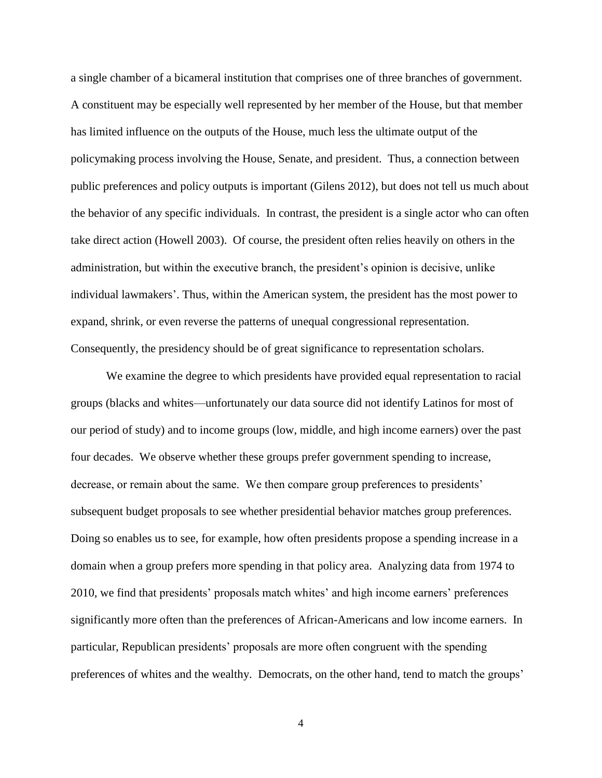a single chamber of a bicameral institution that comprises one of three branches of government. A constituent may be especially well represented by her member of the House, but that member has limited influence on the outputs of the House, much less the ultimate output of the policymaking process involving the House, Senate, and president. Thus, a connection between public preferences and policy outputs is important (Gilens 2012), but does not tell us much about the behavior of any specific individuals. In contrast, the president is a single actor who can often take direct action (Howell 2003). Of course, the president often relies heavily on others in the administration, but within the executive branch, the president's opinion is decisive, unlike individual lawmakers'. Thus, within the American system, the president has the most power to expand, shrink, or even reverse the patterns of unequal congressional representation. Consequently, the presidency should be of great significance to representation scholars.

We examine the degree to which presidents have provided equal representation to racial groups (blacks and whites—unfortunately our data source did not identify Latinos for most of our period of study) and to income groups (low, middle, and high income earners) over the past four decades. We observe whether these groups prefer government spending to increase, decrease, or remain about the same. We then compare group preferences to presidents' subsequent budget proposals to see whether presidential behavior matches group preferences. Doing so enables us to see, for example, how often presidents propose a spending increase in a domain when a group prefers more spending in that policy area. Analyzing data from 1974 to 2010, we find that presidents' proposals match whites' and high income earners' preferences significantly more often than the preferences of African-Americans and low income earners. In particular, Republican presidents' proposals are more often congruent with the spending preferences of whites and the wealthy. Democrats, on the other hand, tend to match the groups'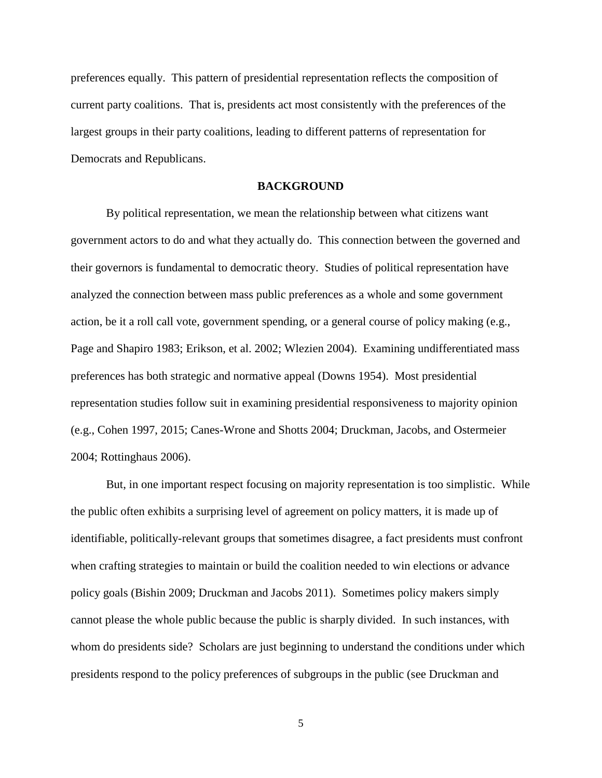preferences equally. This pattern of presidential representation reflects the composition of current party coalitions. That is, presidents act most consistently with the preferences of the largest groups in their party coalitions, leading to different patterns of representation for Democrats and Republicans.

## **BACKGROUND**

By political representation, we mean the relationship between what citizens want government actors to do and what they actually do. This connection between the governed and their governors is fundamental to democratic theory. Studies of political representation have analyzed the connection between mass public preferences as a whole and some government action, be it a roll call vote, government spending, or a general course of policy making (e.g., Page and Shapiro 1983; Erikson, et al. 2002; Wlezien 2004). Examining undifferentiated mass preferences has both strategic and normative appeal (Downs 1954). Most presidential representation studies follow suit in examining presidential responsiveness to majority opinion (e.g., Cohen 1997, 2015; Canes-Wrone and Shotts 2004; Druckman, Jacobs, and Ostermeier 2004; Rottinghaus 2006).

But, in one important respect focusing on majority representation is too simplistic. While the public often exhibits a surprising level of agreement on policy matters, it is made up of identifiable, politically-relevant groups that sometimes disagree, a fact presidents must confront when crafting strategies to maintain or build the coalition needed to win elections or advance policy goals (Bishin 2009; Druckman and Jacobs 2011). Sometimes policy makers simply cannot please the whole public because the public is sharply divided. In such instances, with whom do presidents side? Scholars are just beginning to understand the conditions under which presidents respond to the policy preferences of subgroups in the public (see Druckman and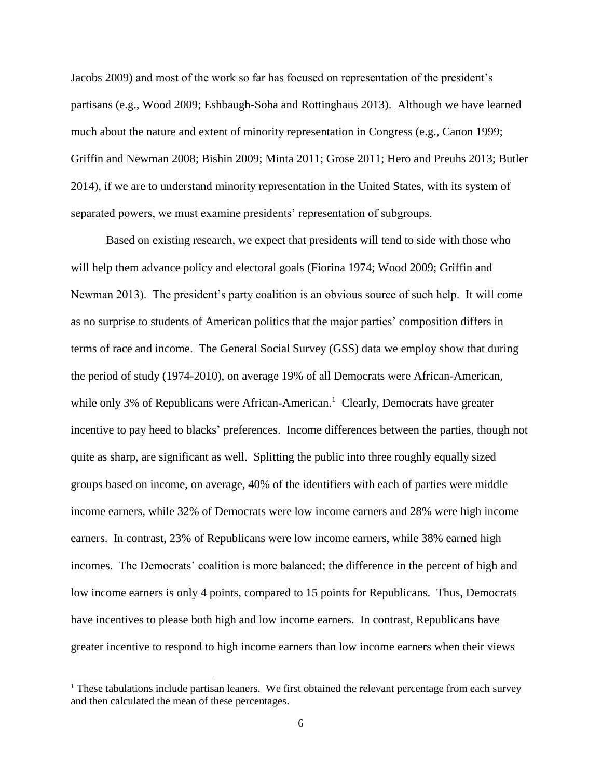Jacobs 2009) and most of the work so far has focused on representation of the president's partisans (e.g., Wood 2009; Eshbaugh-Soha and Rottinghaus 2013). Although we have learned much about the nature and extent of minority representation in Congress (e.g., Canon 1999; Griffin and Newman 2008; Bishin 2009; Minta 2011; Grose 2011; Hero and Preuhs 2013; Butler 2014), if we are to understand minority representation in the United States, with its system of separated powers, we must examine presidents' representation of subgroups.

Based on existing research, we expect that presidents will tend to side with those who will help them advance policy and electoral goals (Fiorina 1974; Wood 2009; Griffin and Newman 2013). The president's party coalition is an obvious source of such help. It will come as no surprise to students of American politics that the major parties' composition differs in terms of race and income. The General Social Survey (GSS) data we employ show that during the period of study (1974-2010), on average 19% of all Democrats were African-American, while only 3% of Republicans were African-American.<sup>1</sup> Clearly, Democrats have greater incentive to pay heed to blacks' preferences. Income differences between the parties, though not quite as sharp, are significant as well. Splitting the public into three roughly equally sized groups based on income, on average, 40% of the identifiers with each of parties were middle income earners, while 32% of Democrats were low income earners and 28% were high income earners. In contrast, 23% of Republicans were low income earners, while 38% earned high incomes. The Democrats' coalition is more balanced; the difference in the percent of high and low income earners is only 4 points, compared to 15 points for Republicans. Thus, Democrats have incentives to please both high and low income earners. In contrast, Republicans have greater incentive to respond to high income earners than low income earners when their views

 $\overline{a}$ 

 $<sup>1</sup>$  These tabulations include partisan leaners. We first obtained the relevant percentage from each survey</sup> and then calculated the mean of these percentages.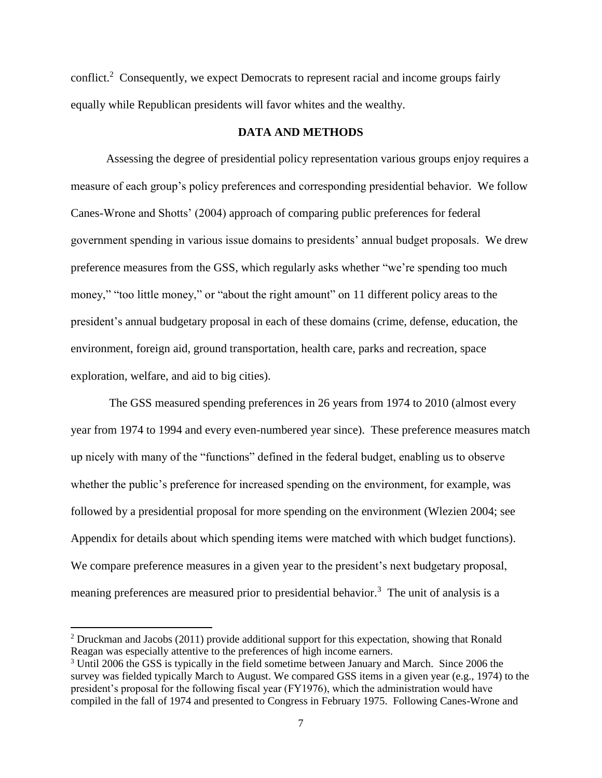conflict.<sup>2</sup> Consequently, we expect Democrats to represent racial and income groups fairly equally while Republican presidents will favor whites and the wealthy.

#### **DATA AND METHODS**

Assessing the degree of presidential policy representation various groups enjoy requires a measure of each group's policy preferences and corresponding presidential behavior. We follow Canes-Wrone and Shotts' (2004) approach of comparing public preferences for federal government spending in various issue domains to presidents' annual budget proposals. We drew preference measures from the GSS, which regularly asks whether "we're spending too much money," "too little money," or "about the right amount" on 11 different policy areas to the president's annual budgetary proposal in each of these domains (crime, defense, education, the environment, foreign aid, ground transportation, health care, parks and recreation, space exploration, welfare, and aid to big cities).

The GSS measured spending preferences in 26 years from 1974 to 2010 (almost every year from 1974 to 1994 and every even-numbered year since). These preference measures match up nicely with many of the "functions" defined in the federal budget, enabling us to observe whether the public's preference for increased spending on the environment, for example, was followed by a presidential proposal for more spending on the environment (Wlezien 2004; see Appendix for details about which spending items were matched with which budget functions). We compare preference measures in a given year to the president's next budgetary proposal, meaning preferences are measured prior to presidential behavior.<sup>3</sup> The unit of analysis is a

l

 $2$  Druckman and Jacobs (2011) provide additional support for this expectation, showing that Ronald Reagan was especially attentive to the preferences of high income earners.

<sup>&</sup>lt;sup>3</sup> Until 2006 the GSS is typically in the field sometime between January and March. Since 2006 the survey was fielded typically March to August. We compared GSS items in a given year (e.g., 1974) to the president's proposal for the following fiscal year (FY1976), which the administration would have compiled in the fall of 1974 and presented to Congress in February 1975. Following Canes-Wrone and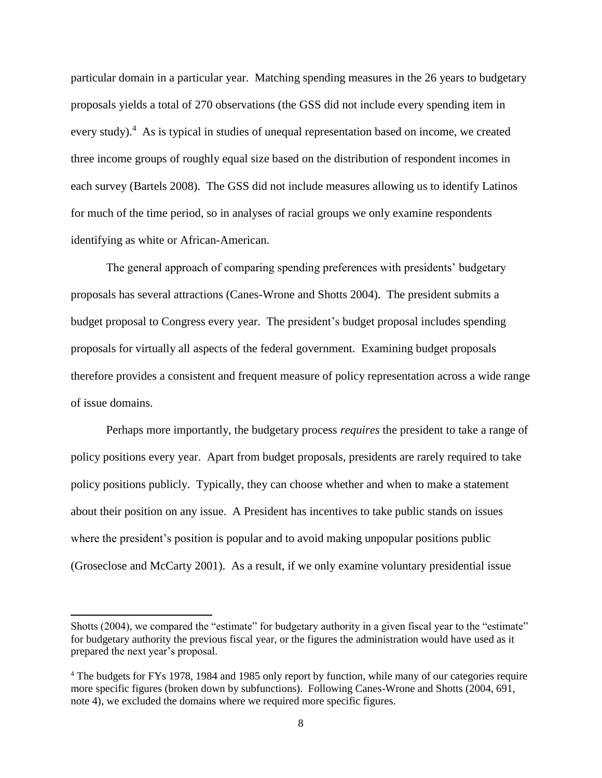particular domain in a particular year. Matching spending measures in the 26 years to budgetary proposals yields a total of 270 observations (the GSS did not include every spending item in every study).<sup>4</sup> As is typical in studies of unequal representation based on income, we created three income groups of roughly equal size based on the distribution of respondent incomes in each survey (Bartels 2008). The GSS did not include measures allowing us to identify Latinos for much of the time period, so in analyses of racial groups we only examine respondents identifying as white or African-American.

The general approach of comparing spending preferences with presidents' budgetary proposals has several attractions (Canes-Wrone and Shotts 2004). The president submits a budget proposal to Congress every year. The president's budget proposal includes spending proposals for virtually all aspects of the federal government. Examining budget proposals therefore provides a consistent and frequent measure of policy representation across a wide range of issue domains.

Perhaps more importantly, the budgetary process *requires* the president to take a range of policy positions every year. Apart from budget proposals, presidents are rarely required to take policy positions publicly. Typically, they can choose whether and when to make a statement about their position on any issue. A President has incentives to take public stands on issues where the president's position is popular and to avoid making unpopular positions public (Groseclose and McCarty 2001). As a result, if we only examine voluntary presidential issue

Shotts (2004), we compared the "estimate" for budgetary authority in a given fiscal year to the "estimate" for budgetary authority the previous fiscal year, or the figures the administration would have used as it prepared the next year's proposal.

<sup>4</sup> The budgets for FYs 1978, 1984 and 1985 only report by function, while many of our categories require more specific figures (broken down by subfunctions). Following Canes-Wrone and Shotts (2004, 691, note 4), we excluded the domains where we required more specific figures.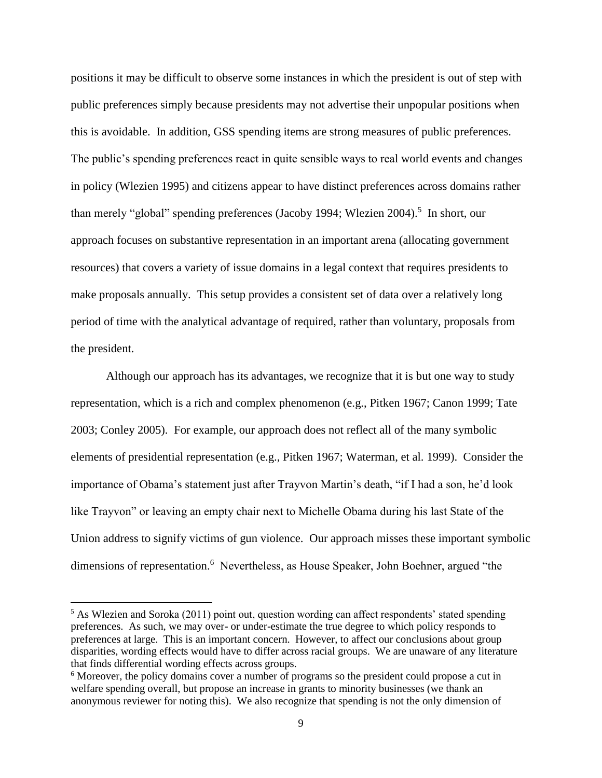positions it may be difficult to observe some instances in which the president is out of step with public preferences simply because presidents may not advertise their unpopular positions when this is avoidable. In addition, GSS spending items are strong measures of public preferences. The public's spending preferences react in quite sensible ways to real world events and changes in policy (Wlezien 1995) and citizens appear to have distinct preferences across domains rather than merely "global" spending preferences (Jacoby 1994; Wlezien 2004).<sup>5</sup> In short, our approach focuses on substantive representation in an important arena (allocating government resources) that covers a variety of issue domains in a legal context that requires presidents to make proposals annually. This setup provides a consistent set of data over a relatively long period of time with the analytical advantage of required, rather than voluntary, proposals from the president.

Although our approach has its advantages, we recognize that it is but one way to study representation, which is a rich and complex phenomenon (e.g., Pitken 1967; Canon 1999; Tate 2003; Conley 2005). For example, our approach does not reflect all of the many symbolic elements of presidential representation (e.g., Pitken 1967; Waterman, et al. 1999). Consider the importance of Obama's statement just after Trayvon Martin's death, "if I had a son, he'd look like Trayvon" or leaving an empty chair next to Michelle Obama during his last State of the Union address to signify victims of gun violence. Our approach misses these important symbolic dimensions of representation.<sup>6</sup> Nevertheless, as House Speaker, John Boehner, argued "the

<sup>&</sup>lt;sup>5</sup> As Wlezien and Soroka (2011) point out, question wording can affect respondents' stated spending preferences. As such, we may over- or under-estimate the true degree to which policy responds to preferences at large. This is an important concern. However, to affect our conclusions about group disparities, wording effects would have to differ across racial groups. We are unaware of any literature that finds differential wording effects across groups.

<sup>&</sup>lt;sup>6</sup> Moreover, the policy domains cover a number of programs so the president could propose a cut in welfare spending overall, but propose an increase in grants to minority businesses (we thank an anonymous reviewer for noting this). We also recognize that spending is not the only dimension of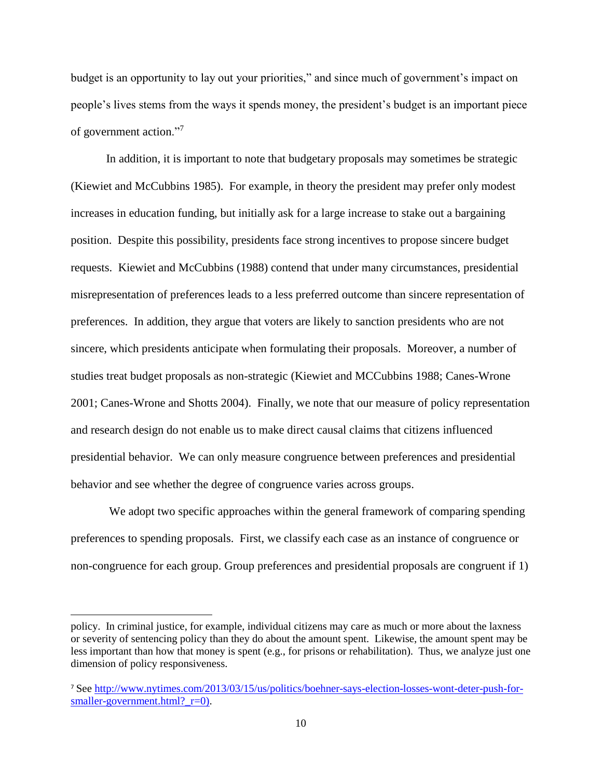budget is an opportunity to lay out your priorities," and since much of government's impact on people's lives stems from the ways it spends money, the president's budget is an important piece of government action."<sup>7</sup>

In addition, it is important to note that budgetary proposals may sometimes be strategic (Kiewiet and McCubbins 1985). For example, in theory the president may prefer only modest increases in education funding, but initially ask for a large increase to stake out a bargaining position. Despite this possibility, presidents face strong incentives to propose sincere budget requests. Kiewiet and McCubbins (1988) contend that under many circumstances, presidential misrepresentation of preferences leads to a less preferred outcome than sincere representation of preferences. In addition, they argue that voters are likely to sanction presidents who are not sincere, which presidents anticipate when formulating their proposals. Moreover, a number of studies treat budget proposals as non-strategic (Kiewiet and MCCubbins 1988; Canes-Wrone 2001; Canes-Wrone and Shotts 2004). Finally, we note that our measure of policy representation and research design do not enable us to make direct causal claims that citizens influenced presidential behavior. We can only measure congruence between preferences and presidential behavior and see whether the degree of congruence varies across groups.

We adopt two specific approaches within the general framework of comparing spending preferences to spending proposals. First, we classify each case as an instance of congruence or non-congruence for each group. Group preferences and presidential proposals are congruent if 1)

policy. In criminal justice, for example, individual citizens may care as much or more about the laxness or severity of sentencing policy than they do about the amount spent. Likewise, the amount spent may be less important than how that money is spent (e.g., for prisons or rehabilitation). Thus, we analyze just one dimension of policy responsiveness.

<sup>7</sup> See [http://www.nytimes.com/2013/03/15/us/politics/boehner-says-election-losses-wont-deter-push-for](http://www.nytimes.com/2013/03/15/us/politics/boehner-says-election-losses-wont-deter-push-for-smaller-government.html?_r=0)[smaller-government.html?\\_r=0\)](http://www.nytimes.com/2013/03/15/us/politics/boehner-says-election-losses-wont-deter-push-for-smaller-government.html?_r=0).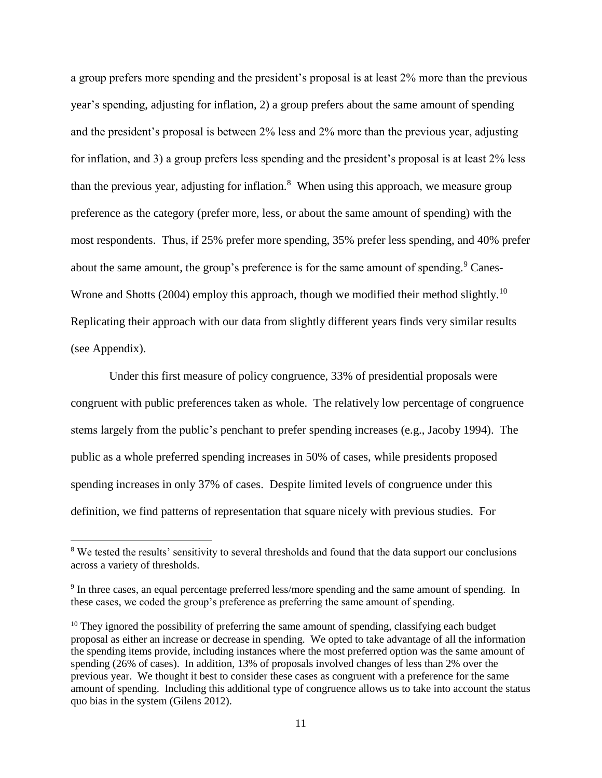a group prefers more spending and the president's proposal is at least 2% more than the previous year's spending, adjusting for inflation, 2) a group prefers about the same amount of spending and the president's proposal is between 2% less and 2% more than the previous year, adjusting for inflation, and 3) a group prefers less spending and the president's proposal is at least 2% less than the previous year, adjusting for inflation.<sup>8</sup> When using this approach, we measure group preference as the category (prefer more, less, or about the same amount of spending) with the most respondents. Thus, if 25% prefer more spending, 35% prefer less spending, and 40% prefer about the same amount, the group's preference is for the same amount of spending.<sup>9</sup> Canes-Wrone and Shotts (2004) employ this approach, though we modified their method slightly.<sup>10</sup> Replicating their approach with our data from slightly different years finds very similar results (see Appendix).

Under this first measure of policy congruence, 33% of presidential proposals were congruent with public preferences taken as whole. The relatively low percentage of congruence stems largely from the public's penchant to prefer spending increases (e.g., Jacoby 1994). The public as a whole preferred spending increases in 50% of cases, while presidents proposed spending increases in only 37% of cases. Despite limited levels of congruence under this definition, we find patterns of representation that square nicely with previous studies. For

 $\overline{a}$ 

<sup>&</sup>lt;sup>8</sup> We tested the results' sensitivity to several thresholds and found that the data support our conclusions across a variety of thresholds.

<sup>&</sup>lt;sup>9</sup> In three cases, an equal percentage preferred less/more spending and the same amount of spending. In these cases, we coded the group's preference as preferring the same amount of spending.

 $10$  They ignored the possibility of preferring the same amount of spending, classifying each budget proposal as either an increase or decrease in spending. We opted to take advantage of all the information the spending items provide, including instances where the most preferred option was the same amount of spending (26% of cases). In addition, 13% of proposals involved changes of less than 2% over the previous year. We thought it best to consider these cases as congruent with a preference for the same amount of spending. Including this additional type of congruence allows us to take into account the status quo bias in the system (Gilens 2012).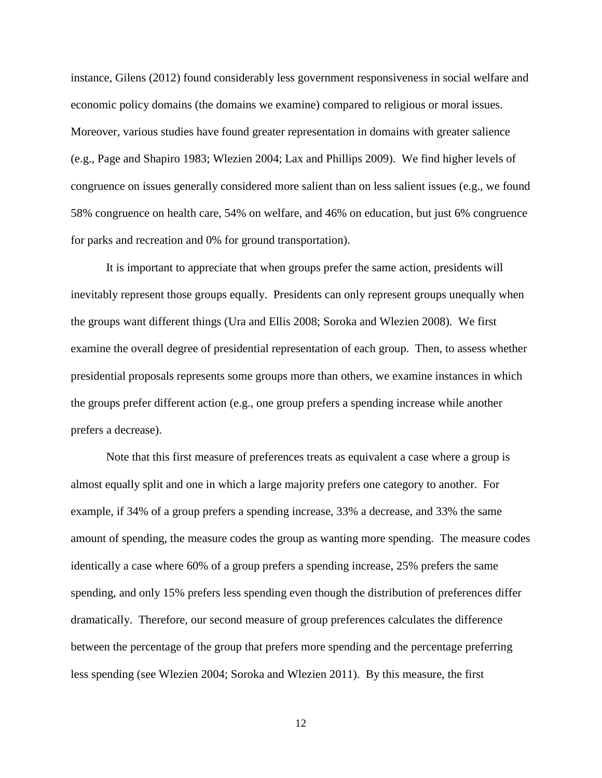instance, Gilens (2012) found considerably less government responsiveness in social welfare and economic policy domains (the domains we examine) compared to religious or moral issues. Moreover, various studies have found greater representation in domains with greater salience (e.g., Page and Shapiro 1983; Wlezien 2004; Lax and Phillips 2009). We find higher levels of congruence on issues generally considered more salient than on less salient issues (e.g., we found 58% congruence on health care, 54% on welfare, and 46% on education, but just 6% congruence for parks and recreation and 0% for ground transportation).

It is important to appreciate that when groups prefer the same action, presidents will inevitably represent those groups equally. Presidents can only represent groups unequally when the groups want different things (Ura and Ellis 2008; Soroka and Wlezien 2008). We first examine the overall degree of presidential representation of each group. Then, to assess whether presidential proposals represents some groups more than others, we examine instances in which the groups prefer different action (e.g., one group prefers a spending increase while another prefers a decrease).

Note that this first measure of preferences treats as equivalent a case where a group is almost equally split and one in which a large majority prefers one category to another. For example, if 34% of a group prefers a spending increase, 33% a decrease, and 33% the same amount of spending, the measure codes the group as wanting more spending. The measure codes identically a case where 60% of a group prefers a spending increase, 25% prefers the same spending, and only 15% prefers less spending even though the distribution of preferences differ dramatically. Therefore, our second measure of group preferences calculates the difference between the percentage of the group that prefers more spending and the percentage preferring less spending (see Wlezien 2004; Soroka and Wlezien 2011). By this measure, the first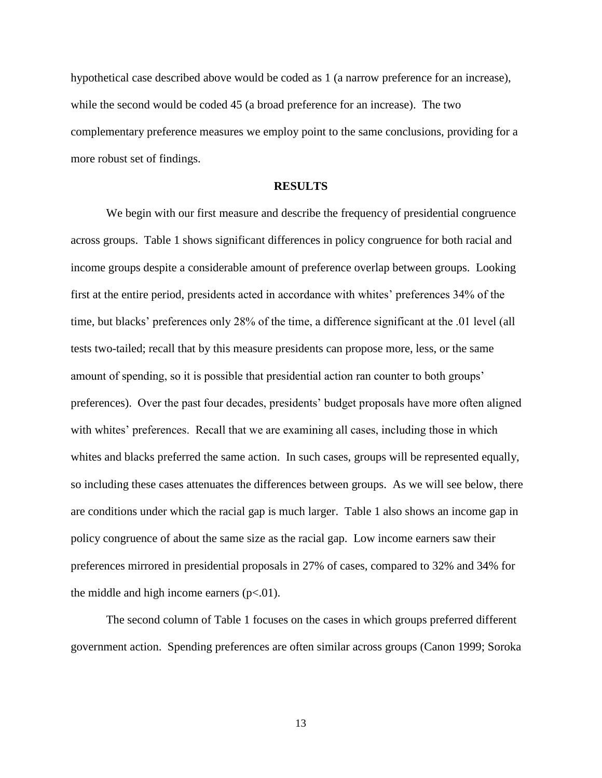hypothetical case described above would be coded as 1 (a narrow preference for an increase), while the second would be coded 45 (a broad preference for an increase). The two complementary preference measures we employ point to the same conclusions, providing for a more robust set of findings.

### **RESULTS**

We begin with our first measure and describe the frequency of presidential congruence across groups. Table 1 shows significant differences in policy congruence for both racial and income groups despite a considerable amount of preference overlap between groups. Looking first at the entire period, presidents acted in accordance with whites' preferences 34% of the time, but blacks' preferences only 28% of the time, a difference significant at the .01 level (all tests two-tailed; recall that by this measure presidents can propose more, less, or the same amount of spending, so it is possible that presidential action ran counter to both groups' preferences). Over the past four decades, presidents' budget proposals have more often aligned with whites' preferences. Recall that we are examining all cases, including those in which whites and blacks preferred the same action. In such cases, groups will be represented equally, so including these cases attenuates the differences between groups. As we will see below, there are conditions under which the racial gap is much larger. Table 1 also shows an income gap in policy congruence of about the same size as the racial gap. Low income earners saw their preferences mirrored in presidential proposals in 27% of cases, compared to 32% and 34% for the middle and high income earners  $(p<.01)$ .

The second column of Table 1 focuses on the cases in which groups preferred different government action. Spending preferences are often similar across groups (Canon 1999; Soroka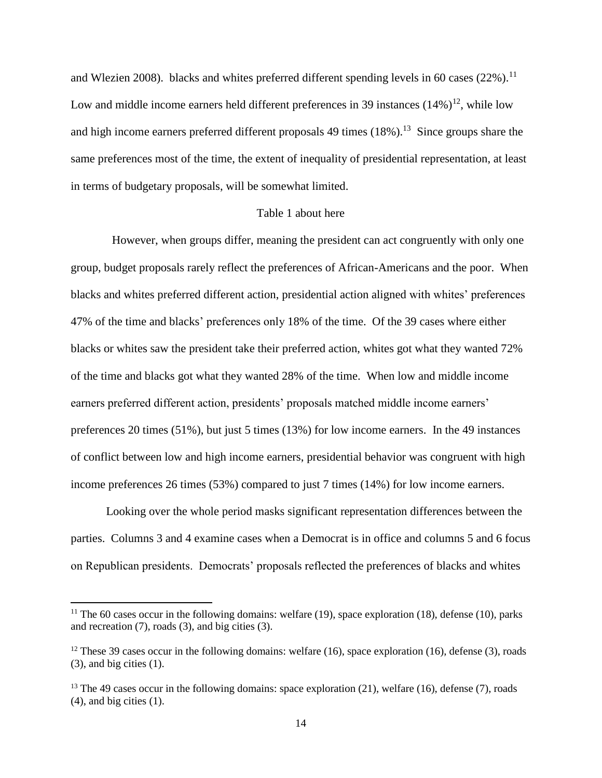and Wlezien 2008). blacks and whites preferred different spending levels in 60 cases  $(22\%)$ .<sup>11</sup> Low and middle income earners held different preferences in 39 instances  $(14\%)^{12}$ , while low and high income earners preferred different proposals  $49 \text{ times } (18\%)$ .<sup>13</sup> Since groups share the same preferences most of the time, the extent of inequality of presidential representation, at least in terms of budgetary proposals, will be somewhat limited.

### Table 1 about here

 However, when groups differ, meaning the president can act congruently with only one group, budget proposals rarely reflect the preferences of African-Americans and the poor. When blacks and whites preferred different action, presidential action aligned with whites' preferences 47% of the time and blacks' preferences only 18% of the time. Of the 39 cases where either blacks or whites saw the president take their preferred action, whites got what they wanted 72% of the time and blacks got what they wanted 28% of the time. When low and middle income earners preferred different action, presidents' proposals matched middle income earners' preferences 20 times (51%), but just 5 times (13%) for low income earners. In the 49 instances of conflict between low and high income earners, presidential behavior was congruent with high income preferences 26 times (53%) compared to just 7 times (14%) for low income earners.

Looking over the whole period masks significant representation differences between the parties. Columns 3 and 4 examine cases when a Democrat is in office and columns 5 and 6 focus on Republican presidents. Democrats' proposals reflected the preferences of blacks and whites

<sup>&</sup>lt;sup>11</sup> The 60 cases occur in the following domains: welfare  $(19)$ , space exploration  $(18)$ , defense  $(10)$ , parks and recreation (7), roads (3), and big cities (3).

 $12$  These 39 cases occur in the following domains: welfare (16), space exploration (16), defense (3), roads  $(3)$ , and big cities  $(1)$ .

<sup>&</sup>lt;sup>13</sup> The 49 cases occur in the following domains: space exploration  $(21)$ , welfare  $(16)$ , defense  $(7)$ , roads (4), and big cities (1).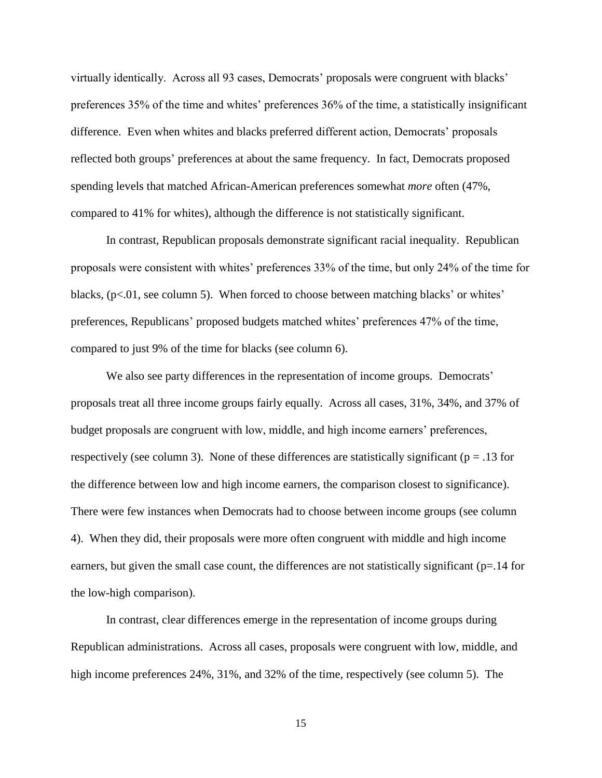virtually identically. Across all 93 cases, Democrats' proposals were congruent with blacks' preferences 35% of the time and whites' preferences 36% of the time, a statistically insignificant difference. Even when whites and blacks preferred different action, Democrats' proposals reflected both groups' preferences at about the same frequency. In fact, Democrats proposed spending levels that matched African-American preferences somewhat *more* often (47%, compared to 41% for whites), although the difference is not statistically significant.

In contrast, Republican proposals demonstrate significant racial inequality. Republican proposals were consistent with whites' preferences 33% of the time, but only 24% of the time for blacks, (p<.01, see column 5). When forced to choose between matching blacks' or whites' preferences, Republicans' proposed budgets matched whites' preferences 47% of the time, compared to just 9% of the time for blacks (see column 6).

We also see party differences in the representation of income groups. Democrats' proposals treat all three income groups fairly equally. Across all cases, 31%, 34%, and 37% of budget proposals are congruent with low, middle, and high income earners' preferences, respectively (see column 3). None of these differences are statistically significant ( $p = .13$  for the difference between low and high income earners, the comparison closest to significance). There were few instances when Democrats had to choose between income groups (see column 4). When they did, their proposals were more often congruent with middle and high income earners, but given the small case count, the differences are not statistically significant (p=.14 for the low-high comparison).

In contrast, clear differences emerge in the representation of income groups during Republican administrations. Across all cases, proposals were congruent with low, middle, and high income preferences 24%, 31%, and 32% of the time, respectively (see column 5). The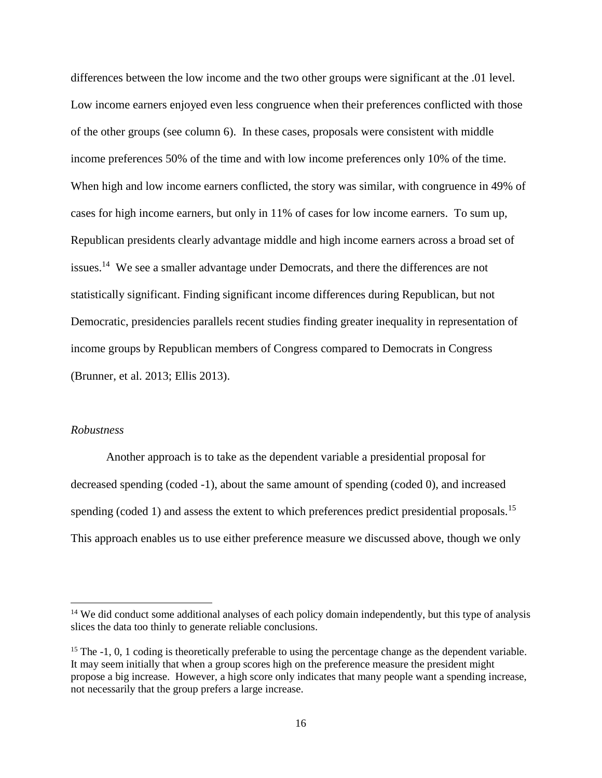differences between the low income and the two other groups were significant at the .01 level. Low income earners enjoyed even less congruence when their preferences conflicted with those of the other groups (see column 6). In these cases, proposals were consistent with middle income preferences 50% of the time and with low income preferences only 10% of the time. When high and low income earners conflicted, the story was similar, with congruence in 49% of cases for high income earners, but only in 11% of cases for low income earners. To sum up, Republican presidents clearly advantage middle and high income earners across a broad set of issues.<sup>14</sup> We see a smaller advantage under Democrats, and there the differences are not statistically significant. Finding significant income differences during Republican, but not Democratic, presidencies parallels recent studies finding greater inequality in representation of income groups by Republican members of Congress compared to Democrats in Congress (Brunner, et al. 2013; Ellis 2013).

#### *Robustness*

 $\overline{\phantom{a}}$ 

Another approach is to take as the dependent variable a presidential proposal for decreased spending (coded -1), about the same amount of spending (coded 0), and increased spending (coded 1) and assess the extent to which preferences predict presidential proposals.<sup>15</sup> This approach enables us to use either preference measure we discussed above, though we only

<sup>&</sup>lt;sup>14</sup> We did conduct some additional analyses of each policy domain independently, but this type of analysis slices the data too thinly to generate reliable conclusions.

<sup>&</sup>lt;sup>15</sup> The -1, 0, 1 coding is theoretically preferable to using the percentage change as the dependent variable. It may seem initially that when a group scores high on the preference measure the president might propose a big increase. However, a high score only indicates that many people want a spending increase, not necessarily that the group prefers a large increase.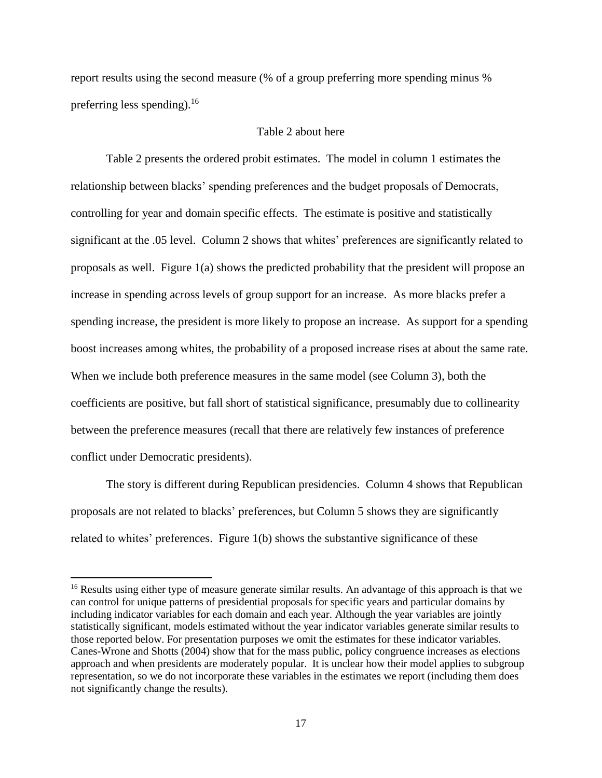report results using the second measure (% of a group preferring more spending minus % preferring less spending).<sup>16</sup>

## Table 2 about here

Table 2 presents the ordered probit estimates. The model in column 1 estimates the relationship between blacks' spending preferences and the budget proposals of Democrats, controlling for year and domain specific effects. The estimate is positive and statistically significant at the .05 level. Column 2 shows that whites' preferences are significantly related to proposals as well. Figure 1(a) shows the predicted probability that the president will propose an increase in spending across levels of group support for an increase. As more blacks prefer a spending increase, the president is more likely to propose an increase. As support for a spending boost increases among whites, the probability of a proposed increase rises at about the same rate. When we include both preference measures in the same model (see Column 3), both the coefficients are positive, but fall short of statistical significance, presumably due to collinearity between the preference measures (recall that there are relatively few instances of preference conflict under Democratic presidents).

The story is different during Republican presidencies. Column 4 shows that Republican proposals are not related to blacks' preferences, but Column 5 shows they are significantly related to whites' preferences. Figure 1(b) shows the substantive significance of these

l

<sup>&</sup>lt;sup>16</sup> Results using either type of measure generate similar results. An advantage of this approach is that we can control for unique patterns of presidential proposals for specific years and particular domains by including indicator variables for each domain and each year. Although the year variables are jointly statistically significant, models estimated without the year indicator variables generate similar results to those reported below. For presentation purposes we omit the estimates for these indicator variables. Canes-Wrone and Shotts (2004) show that for the mass public, policy congruence increases as elections approach and when presidents are moderately popular. It is unclear how their model applies to subgroup representation, so we do not incorporate these variables in the estimates we report (including them does not significantly change the results).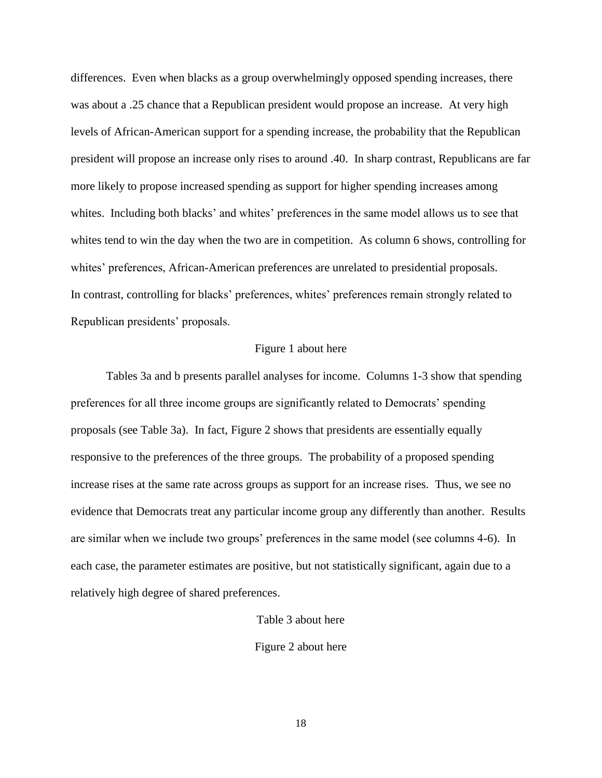differences. Even when blacks as a group overwhelmingly opposed spending increases, there was about a .25 chance that a Republican president would propose an increase. At very high levels of African-American support for a spending increase, the probability that the Republican president will propose an increase only rises to around .40. In sharp contrast, Republicans are far more likely to propose increased spending as support for higher spending increases among whites. Including both blacks' and whites' preferences in the same model allows us to see that whites tend to win the day when the two are in competition. As column 6 shows, controlling for whites' preferences, African-American preferences are unrelated to presidential proposals. In contrast, controlling for blacks' preferences, whites' preferences remain strongly related to Republican presidents' proposals.

# Figure 1 about here

Tables 3a and b presents parallel analyses for income. Columns 1-3 show that spending preferences for all three income groups are significantly related to Democrats' spending proposals (see Table 3a). In fact, Figure 2 shows that presidents are essentially equally responsive to the preferences of the three groups. The probability of a proposed spending increase rises at the same rate across groups as support for an increase rises. Thus, we see no evidence that Democrats treat any particular income group any differently than another. Results are similar when we include two groups' preferences in the same model (see columns 4-6). In each case, the parameter estimates are positive, but not statistically significant, again due to a relatively high degree of shared preferences.

#### Table 3 about here

Figure 2 about here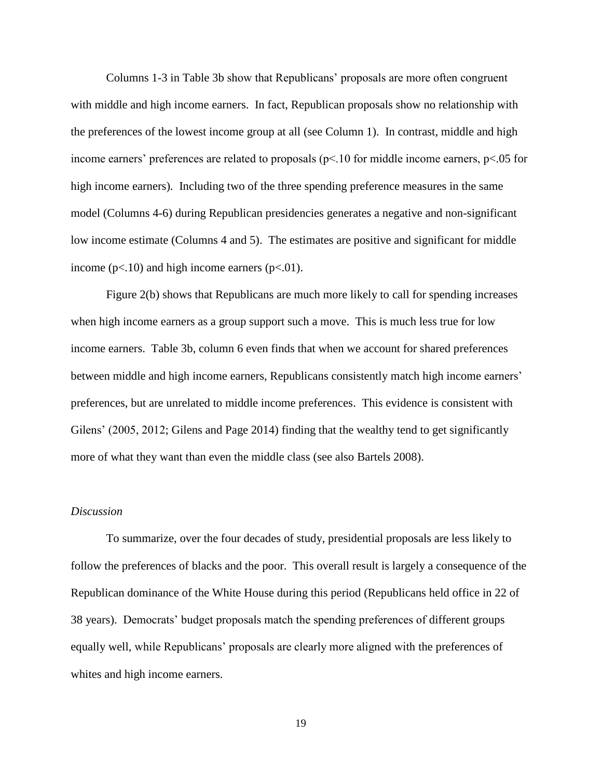Columns 1-3 in Table 3b show that Republicans' proposals are more often congruent with middle and high income earners. In fact, Republican proposals show no relationship with the preferences of the lowest income group at all (see Column 1). In contrast, middle and high income earners' preferences are related to proposals (p<.10 for middle income earners, p<.05 for high income earners). Including two of the three spending preference measures in the same model (Columns 4-6) during Republican presidencies generates a negative and non-significant low income estimate (Columns 4 and 5). The estimates are positive and significant for middle income ( $p$ <.10) and high income earners ( $p$ <.01).

Figure 2(b) shows that Republicans are much more likely to call for spending increases when high income earners as a group support such a move. This is much less true for low income earners. Table 3b, column 6 even finds that when we account for shared preferences between middle and high income earners, Republicans consistently match high income earners' preferences, but are unrelated to middle income preferences. This evidence is consistent with Gilens' (2005, 2012; Gilens and Page 2014) finding that the wealthy tend to get significantly more of what they want than even the middle class (see also Bartels 2008).

#### *Discussion*

To summarize, over the four decades of study, presidential proposals are less likely to follow the preferences of blacks and the poor. This overall result is largely a consequence of the Republican dominance of the White House during this period (Republicans held office in 22 of 38 years). Democrats' budget proposals match the spending preferences of different groups equally well, while Republicans' proposals are clearly more aligned with the preferences of whites and high income earners.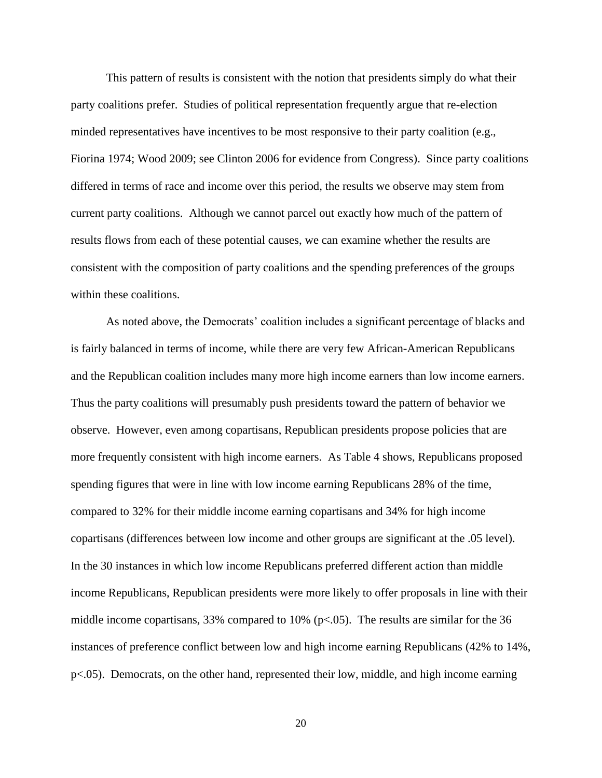This pattern of results is consistent with the notion that presidents simply do what their party coalitions prefer. Studies of political representation frequently argue that re-election minded representatives have incentives to be most responsive to their party coalition (e.g., Fiorina 1974; Wood 2009; see Clinton 2006 for evidence from Congress). Since party coalitions differed in terms of race and income over this period, the results we observe may stem from current party coalitions. Although we cannot parcel out exactly how much of the pattern of results flows from each of these potential causes, we can examine whether the results are consistent with the composition of party coalitions and the spending preferences of the groups within these coalitions.

As noted above, the Democrats' coalition includes a significant percentage of blacks and is fairly balanced in terms of income, while there are very few African-American Republicans and the Republican coalition includes many more high income earners than low income earners. Thus the party coalitions will presumably push presidents toward the pattern of behavior we observe. However, even among copartisans, Republican presidents propose policies that are more frequently consistent with high income earners. As Table 4 shows, Republicans proposed spending figures that were in line with low income earning Republicans 28% of the time, compared to 32% for their middle income earning copartisans and 34% for high income copartisans (differences between low income and other groups are significant at the .05 level). In the 30 instances in which low income Republicans preferred different action than middle income Republicans, Republican presidents were more likely to offer proposals in line with their middle income copartisans, 33% compared to 10% (p<.05). The results are similar for the 36 instances of preference conflict between low and high income earning Republicans (42% to 14%, p<.05). Democrats, on the other hand, represented their low, middle, and high income earning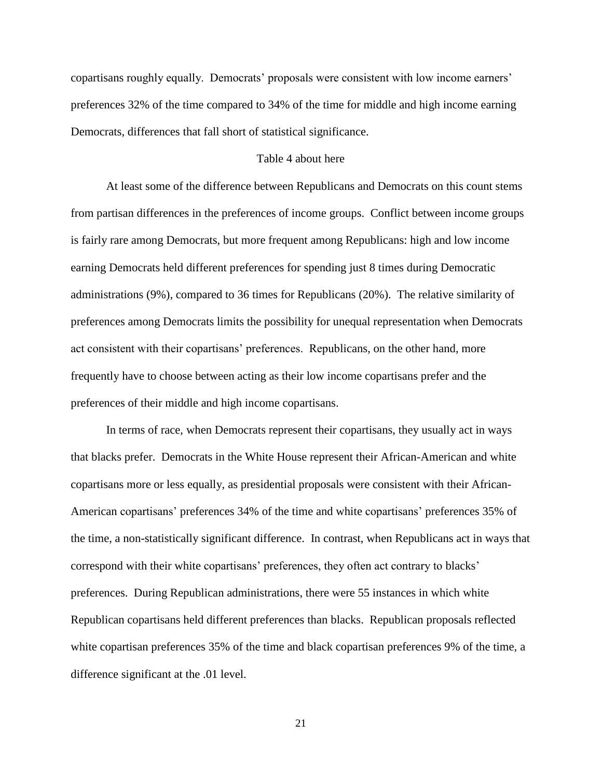copartisans roughly equally. Democrats' proposals were consistent with low income earners' preferences 32% of the time compared to 34% of the time for middle and high income earning Democrats, differences that fall short of statistical significance.

# Table 4 about here

At least some of the difference between Republicans and Democrats on this count stems from partisan differences in the preferences of income groups. Conflict between income groups is fairly rare among Democrats, but more frequent among Republicans: high and low income earning Democrats held different preferences for spending just 8 times during Democratic administrations (9%), compared to 36 times for Republicans (20%). The relative similarity of preferences among Democrats limits the possibility for unequal representation when Democrats act consistent with their copartisans' preferences. Republicans, on the other hand, more frequently have to choose between acting as their low income copartisans prefer and the preferences of their middle and high income copartisans.

In terms of race, when Democrats represent their copartisans, they usually act in ways that blacks prefer. Democrats in the White House represent their African-American and white copartisans more or less equally, as presidential proposals were consistent with their African-American copartisans' preferences 34% of the time and white copartisans' preferences 35% of the time, a non-statistically significant difference. In contrast, when Republicans act in ways that correspond with their white copartisans' preferences, they often act contrary to blacks' preferences. During Republican administrations, there were 55 instances in which white Republican copartisans held different preferences than blacks. Republican proposals reflected white copartisan preferences 35% of the time and black copartisan preferences 9% of the time, a difference significant at the .01 level.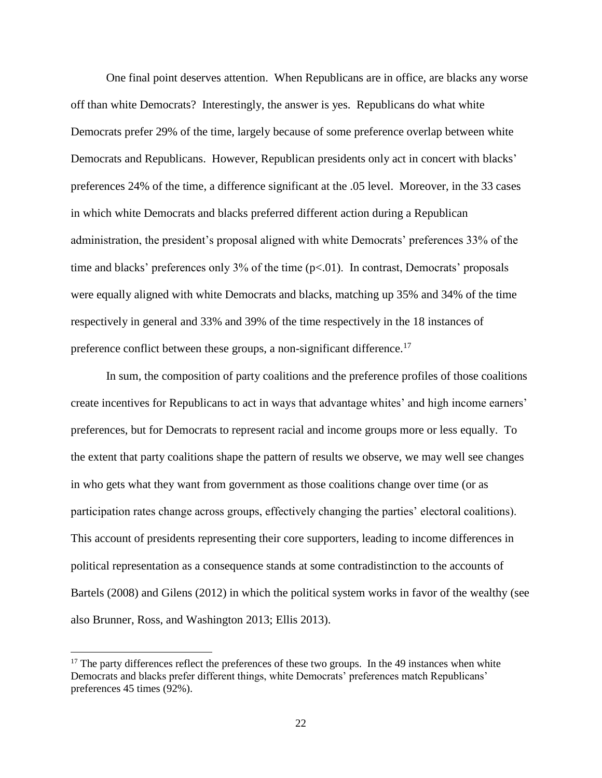One final point deserves attention. When Republicans are in office, are blacks any worse off than white Democrats? Interestingly, the answer is yes. Republicans do what white Democrats prefer 29% of the time, largely because of some preference overlap between white Democrats and Republicans. However, Republican presidents only act in concert with blacks' preferences 24% of the time, a difference significant at the .05 level. Moreover, in the 33 cases in which white Democrats and blacks preferred different action during a Republican administration, the president's proposal aligned with white Democrats' preferences 33% of the time and blacks' preferences only  $3\%$  of the time ( $p<.01$ ). In contrast, Democrats' proposals were equally aligned with white Democrats and blacks, matching up 35% and 34% of the time respectively in general and 33% and 39% of the time respectively in the 18 instances of preference conflict between these groups, a non-significant difference.<sup>17</sup>

In sum, the composition of party coalitions and the preference profiles of those coalitions create incentives for Republicans to act in ways that advantage whites' and high income earners' preferences, but for Democrats to represent racial and income groups more or less equally. To the extent that party coalitions shape the pattern of results we observe, we may well see changes in who gets what they want from government as those coalitions change over time (or as participation rates change across groups, effectively changing the parties' electoral coalitions). This account of presidents representing their core supporters, leading to income differences in political representation as a consequence stands at some contradistinction to the accounts of Bartels (2008) and Gilens (2012) in which the political system works in favor of the wealthy (see also Brunner, Ross, and Washington 2013; Ellis 2013).

 $17$  The party differences reflect the preferences of these two groups. In the 49 instances when white Democrats and blacks prefer different things, white Democrats' preferences match Republicans' preferences 45 times (92%).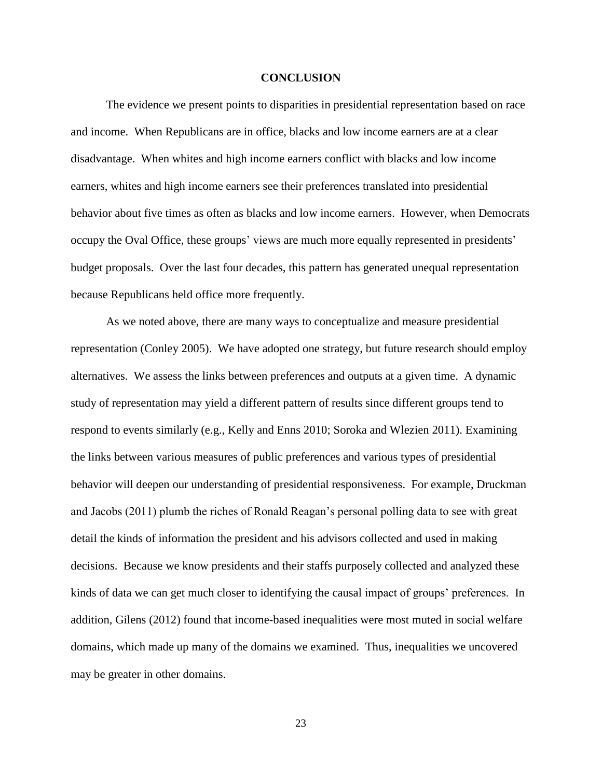#### **CONCLUSION**

The evidence we present points to disparities in presidential representation based on race and income. When Republicans are in office, blacks and low income earners are at a clear disadvantage. When whites and high income earners conflict with blacks and low income earners, whites and high income earners see their preferences translated into presidential behavior about five times as often as blacks and low income earners. However, when Democrats occupy the Oval Office, these groups' views are much more equally represented in presidents' budget proposals. Over the last four decades, this pattern has generated unequal representation because Republicans held office more frequently.

As we noted above, there are many ways to conceptualize and measure presidential representation (Conley 2005). We have adopted one strategy, but future research should employ alternatives. We assess the links between preferences and outputs at a given time. A dynamic study of representation may yield a different pattern of results since different groups tend to respond to events similarly (e.g., Kelly and Enns 2010; Soroka and Wlezien 2011). Examining the links between various measures of public preferences and various types of presidential behavior will deepen our understanding of presidential responsiveness. For example, Druckman and Jacobs (2011) plumb the riches of Ronald Reagan's personal polling data to see with great detail the kinds of information the president and his advisors collected and used in making decisions. Because we know presidents and their staffs purposely collected and analyzed these kinds of data we can get much closer to identifying the causal impact of groups' preferences. In addition, Gilens (2012) found that income-based inequalities were most muted in social welfare domains, which made up many of the domains we examined. Thus, inequalities we uncovered may be greater in other domains.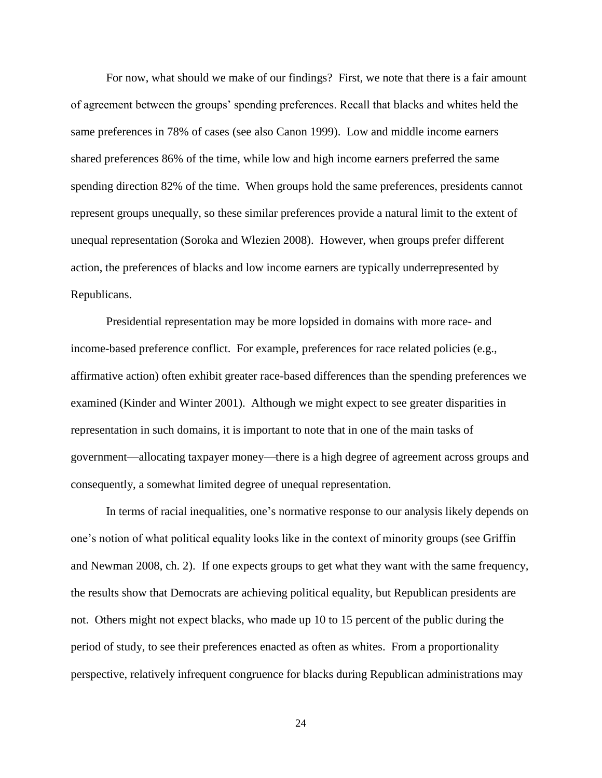For now, what should we make of our findings? First, we note that there is a fair amount of agreement between the groups' spending preferences. Recall that blacks and whites held the same preferences in 78% of cases (see also Canon 1999). Low and middle income earners shared preferences 86% of the time, while low and high income earners preferred the same spending direction 82% of the time. When groups hold the same preferences, presidents cannot represent groups unequally, so these similar preferences provide a natural limit to the extent of unequal representation (Soroka and Wlezien 2008). However, when groups prefer different action, the preferences of blacks and low income earners are typically underrepresented by Republicans.

Presidential representation may be more lopsided in domains with more race- and income-based preference conflict. For example, preferences for race related policies (e.g., affirmative action) often exhibit greater race-based differences than the spending preferences we examined (Kinder and Winter 2001). Although we might expect to see greater disparities in representation in such domains, it is important to note that in one of the main tasks of government—allocating taxpayer money—there is a high degree of agreement across groups and consequently, a somewhat limited degree of unequal representation.

In terms of racial inequalities, one's normative response to our analysis likely depends on one's notion of what political equality looks like in the context of minority groups (see Griffin and Newman 2008, ch. 2). If one expects groups to get what they want with the same frequency, the results show that Democrats are achieving political equality, but Republican presidents are not. Others might not expect blacks, who made up 10 to 15 percent of the public during the period of study, to see their preferences enacted as often as whites. From a proportionality perspective, relatively infrequent congruence for blacks during Republican administrations may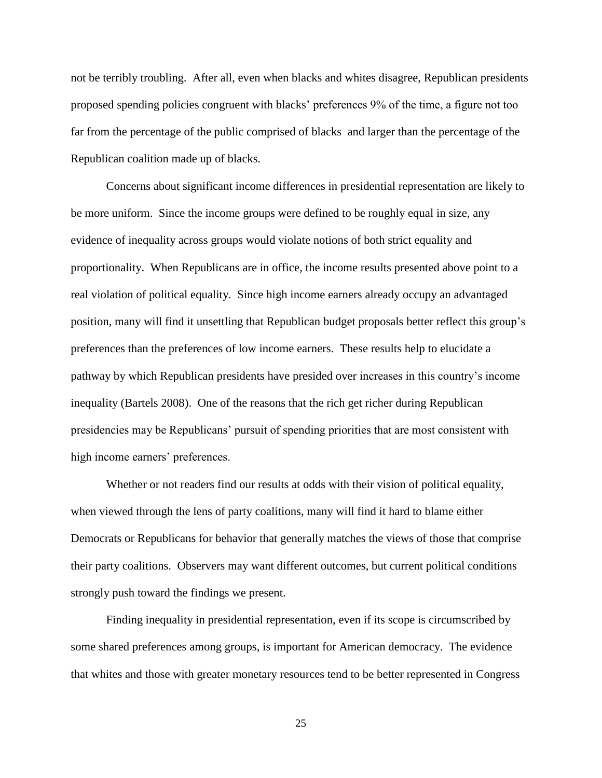not be terribly troubling. After all, even when blacks and whites disagree, Republican presidents proposed spending policies congruent with blacks' preferences 9% of the time, a figure not too far from the percentage of the public comprised of blacks and larger than the percentage of the Republican coalition made up of blacks.

Concerns about significant income differences in presidential representation are likely to be more uniform. Since the income groups were defined to be roughly equal in size, any evidence of inequality across groups would violate notions of both strict equality and proportionality. When Republicans are in office, the income results presented above point to a real violation of political equality. Since high income earners already occupy an advantaged position, many will find it unsettling that Republican budget proposals better reflect this group's preferences than the preferences of low income earners. These results help to elucidate a pathway by which Republican presidents have presided over increases in this country's income inequality (Bartels 2008). One of the reasons that the rich get richer during Republican presidencies may be Republicans' pursuit of spending priorities that are most consistent with high income earners' preferences.

Whether or not readers find our results at odds with their vision of political equality, when viewed through the lens of party coalitions, many will find it hard to blame either Democrats or Republicans for behavior that generally matches the views of those that comprise their party coalitions. Observers may want different outcomes, but current political conditions strongly push toward the findings we present.

Finding inequality in presidential representation, even if its scope is circumscribed by some shared preferences among groups, is important for American democracy. The evidence that whites and those with greater monetary resources tend to be better represented in Congress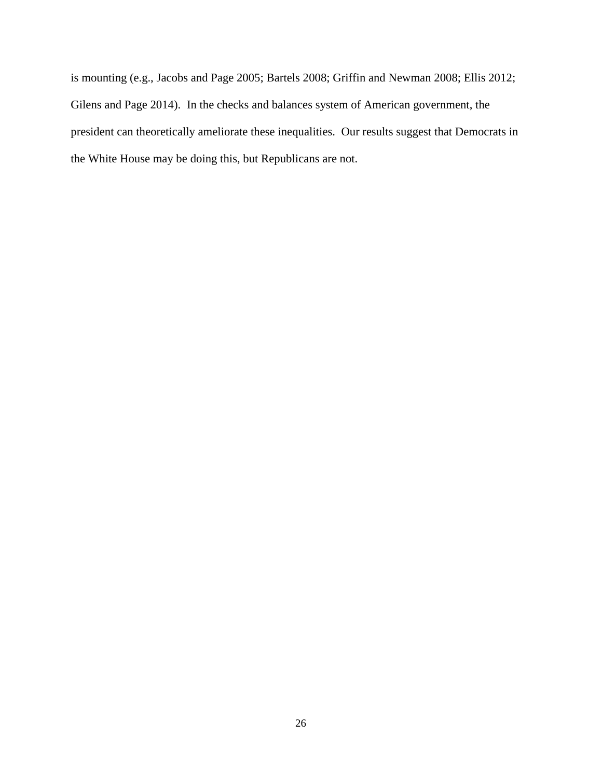is mounting (e.g., Jacobs and Page 2005; Bartels 2008; Griffin and Newman 2008; Ellis 2012; Gilens and Page 2014). In the checks and balances system of American government, the president can theoretically ameliorate these inequalities. Our results suggest that Democrats in the White House may be doing this, but Republicans are not.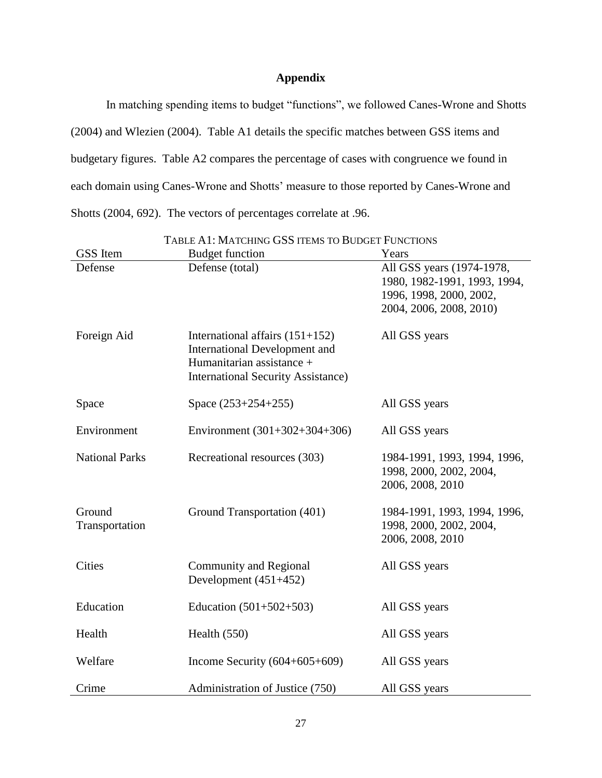# **Appendix**

In matching spending items to budget "functions", we followed Canes-Wrone and Shotts (2004) and Wlezien (2004). Table A1 details the specific matches between GSS items and budgetary figures. Table A2 compares the percentage of cases with congruence we found in each domain using Canes-Wrone and Shotts' measure to those reported by Canes-Wrone and Shotts (2004, 692). The vectors of percentages correlate at .96.

| GSS Item                 | <b>Budget function</b>                                                                                                                              | Years                                                                                                           |
|--------------------------|-----------------------------------------------------------------------------------------------------------------------------------------------------|-----------------------------------------------------------------------------------------------------------------|
| Defense                  | Defense (total)                                                                                                                                     | All GSS years (1974-1978,<br>1980, 1982-1991, 1993, 1994,<br>1996, 1998, 2000, 2002,<br>2004, 2006, 2008, 2010) |
| Foreign Aid              | International affairs $(151+152)$<br><b>International Development and</b><br>Humanitarian assistance +<br><b>International Security Assistance)</b> | All GSS years                                                                                                   |
| Space                    | Space $(253+254+255)$                                                                                                                               | All GSS years                                                                                                   |
| Environment              | Environment $(301+302+304+306)$                                                                                                                     | All GSS years                                                                                                   |
| <b>National Parks</b>    | Recreational resources (303)                                                                                                                        | 1984-1991, 1993, 1994, 1996,<br>1998, 2000, 2002, 2004,<br>2006, 2008, 2010                                     |
| Ground<br>Transportation | Ground Transportation (401)                                                                                                                         | 1984-1991, 1993, 1994, 1996,<br>1998, 2000, 2002, 2004,<br>2006, 2008, 2010                                     |
| <b>Cities</b>            | Community and Regional<br>Development $(451+452)$                                                                                                   | All GSS years                                                                                                   |
| Education                | Education $(501+502+503)$                                                                                                                           | All GSS years                                                                                                   |
| Health                   | Health $(550)$                                                                                                                                      | All GSS years                                                                                                   |
| Welfare                  | Income Security $(604+605+609)$                                                                                                                     | All GSS years                                                                                                   |
| Crime                    | Administration of Justice (750)                                                                                                                     | All GSS years                                                                                                   |

TABLE A1: MATCHING GSS ITEMS TO BUDGET FUNCTIONS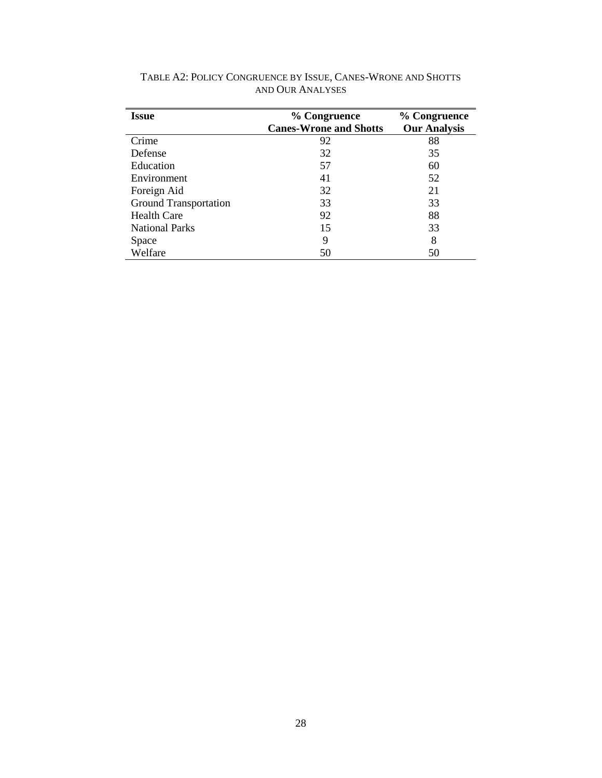| <b>Issue</b>                 | % Congruence                  | % Congruence        |  |
|------------------------------|-------------------------------|---------------------|--|
|                              | <b>Canes-Wrone and Shotts</b> | <b>Our Analysis</b> |  |
| Crime                        | 92                            | 88                  |  |
| Defense                      | 32                            | 35                  |  |
| Education                    | 57                            | 60                  |  |
| Environment                  | 41                            | 52                  |  |
| Foreign Aid                  | 32                            | 21                  |  |
| <b>Ground Transportation</b> | 33                            | 33                  |  |
| <b>Health Care</b>           | 92                            | 88                  |  |
| <b>National Parks</b>        | 15                            | 33                  |  |
| Space                        | 9                             | 8                   |  |
| Welfare                      | 50                            | 50                  |  |

TABLE A2: POLICY CONGRUENCE BY ISSUE, CANES-WRONE AND SHOTTS AND OUR ANALYSES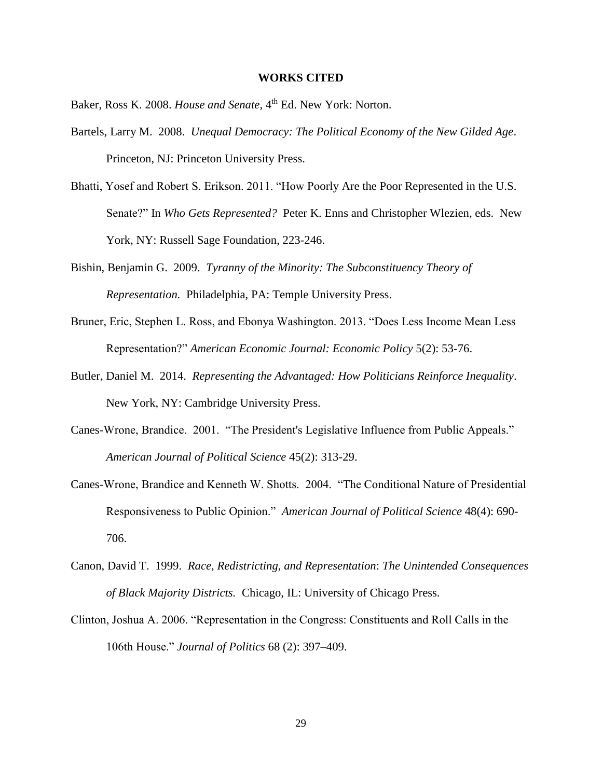#### **WORKS CITED**

- Baker, Ross K. 2008. *House and Senate*, 4<sup>th</sup> Ed. New York: Norton.
- Bartels, Larry M. 2008. *Unequal Democracy: The Political Economy of the New Gilded Age*. Princeton, NJ: Princeton University Press.
- Bhatti, Yosef and Robert S. Erikson. 2011. "How Poorly Are the Poor Represented in the U.S. Senate?" In *Who Gets Represented?* Peter K. Enns and Christopher Wlezien, eds. New York, NY: Russell Sage Foundation, 223-246.
- Bishin, Benjamin G. 2009. *Tyranny of the Minority: The Subconstituency Theory of Representation.* Philadelphia, PA: Temple University Press.
- Bruner, Eric, Stephen L. Ross, and Ebonya Washington. 2013. "Does Less Income Mean Less Representation?" *American Economic Journal: Economic Policy* 5(2): 53-76.
- Butler, Daniel M. 2014. *Representing the Advantaged: How Politicians Reinforce Inequality*. New York, NY: Cambridge University Press.
- Canes-Wrone, Brandice. 2001. "The President's Legislative Influence from Public Appeals." *American Journal of Political Science* 45(2): 313-29.
- Canes-Wrone, Brandice and Kenneth W. Shotts. 2004. "The Conditional Nature of Presidential Responsiveness to Public Opinion." *American Journal of Political Science* 48(4): 690- 706.
- Canon, David T. 1999. *Race, Redistricting, and Representation*: *The Unintended Consequences of Black Majority Districts.* Chicago, IL: University of Chicago Press.
- Clinton, Joshua A. 2006. "Representation in the Congress: Constituents and Roll Calls in the 106th House." *Journal of Politics* 68 (2): 397–409.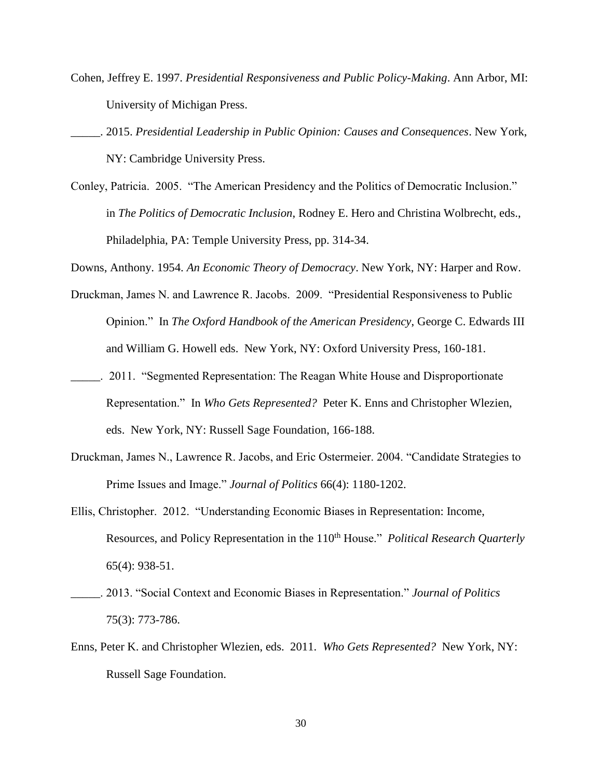- Cohen, Jeffrey E. 1997. *Presidential Responsiveness and Public Policy-Making*. Ann Arbor, MI: University of Michigan Press.
- \_\_\_\_\_. 2015. *Presidential Leadership in Public Opinion: Causes and Consequences*. New York, NY: Cambridge University Press.
- Conley, Patricia. 2005. "The American Presidency and the Politics of Democratic Inclusion." in *The Politics of Democratic Inclusion*, Rodney E. Hero and Christina Wolbrecht, eds., Philadelphia, PA: Temple University Press, pp. 314-34.

Downs, Anthony. 1954. *An Economic Theory of Democracy*. New York, NY: Harper and Row.

- Druckman, James N. and Lawrence R. Jacobs. 2009. "Presidential Responsiveness to Public Opinion." In *The Oxford Handbook of the American Presidency*, George C. Edwards III and William G. Howell eds. New York, NY: Oxford University Press, 160-181.
- \_\_\_\_\_. 2011. "Segmented Representation: The Reagan White House and Disproportionate Representation." In *Who Gets Represented?* Peter K. Enns and Christopher Wlezien, eds. New York, NY: Russell Sage Foundation, 166-188.
- Druckman, James N., Lawrence R. Jacobs, and Eric Ostermeier. 2004. "Candidate Strategies to Prime Issues and Image." *Journal of Politics* 66(4): 1180-1202.
- Ellis, Christopher. 2012. "Understanding Economic Biases in Representation: Income, Resources, and Policy Representation in the 110<sup>th</sup> House." *Political Research Quarterly* 65(4): 938-51.
- \_\_\_\_\_. 2013. "Social Context and Economic Biases in Representation." *Journal of Politics*  75(3): 773-786.
- Enns, Peter K. and Christopher Wlezien, eds. 2011. *Who Gets Represented?* New York, NY: Russell Sage Foundation.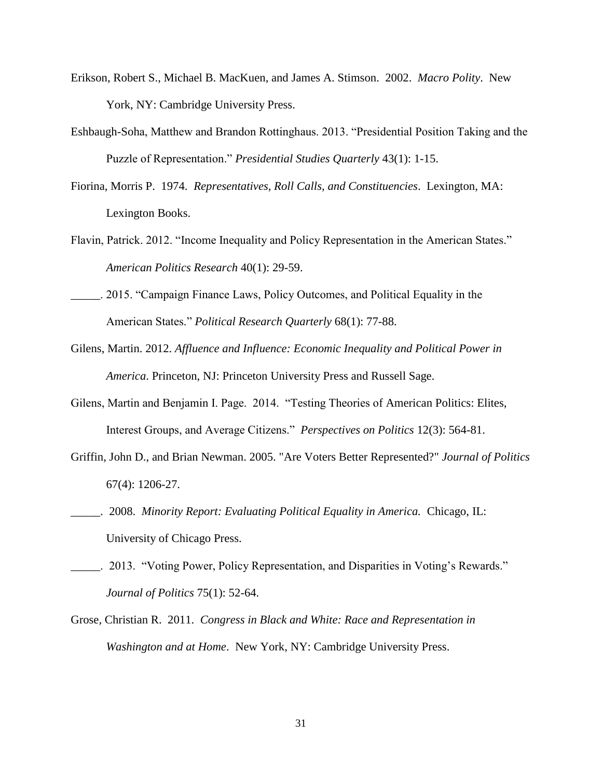- Erikson, Robert S., Michael B. MacKuen, and James A. Stimson. 2002. *Macro Polity*. New York, NY: Cambridge University Press.
- Eshbaugh-Soha, Matthew and Brandon Rottinghaus. 2013. "Presidential Position Taking and the Puzzle of Representation." *Presidential Studies Quarterly* 43(1): 1-15.
- Fiorina, Morris P. 1974. *Representatives, Roll Calls, and Constituencies*. Lexington, MA: Lexington Books.
- Flavin, Patrick. 2012. "Income Inequality and Policy Representation in the American States." *American Politics Research* 40(1): 29-59.
- \_\_\_\_\_. 2015. "Campaign Finance Laws, Policy Outcomes, and Political Equality in the American States." *Political Research Quarterly* 68(1): 77-88.
- Gilens, Martin. 2012. *Affluence and Influence: Economic Inequality and Political Power in America*. Princeton, NJ: Princeton University Press and Russell Sage.
- Gilens, Martin and Benjamin I. Page. 2014. "Testing Theories of American Politics: Elites, Interest Groups, and Average Citizens." *Perspectives on Politics* 12(3): 564-81.
- Griffin, John D., and Brian Newman. 2005. "Are Voters Better Represented?" *Journal of Politics* 67(4): 1206-27.
- \_\_\_\_\_. 2008. *Minority Report: Evaluating Political Equality in America.* Chicago, IL: University of Chicago Press.
- \_\_\_\_\_. 2013. "Voting Power, Policy Representation, and Disparities in Voting's Rewards." *Journal of Politics* 75(1): 52-64.
- Grose, Christian R. 2011. *Congress in Black and White: Race and Representation in Washington and at Home*. New York, NY: Cambridge University Press.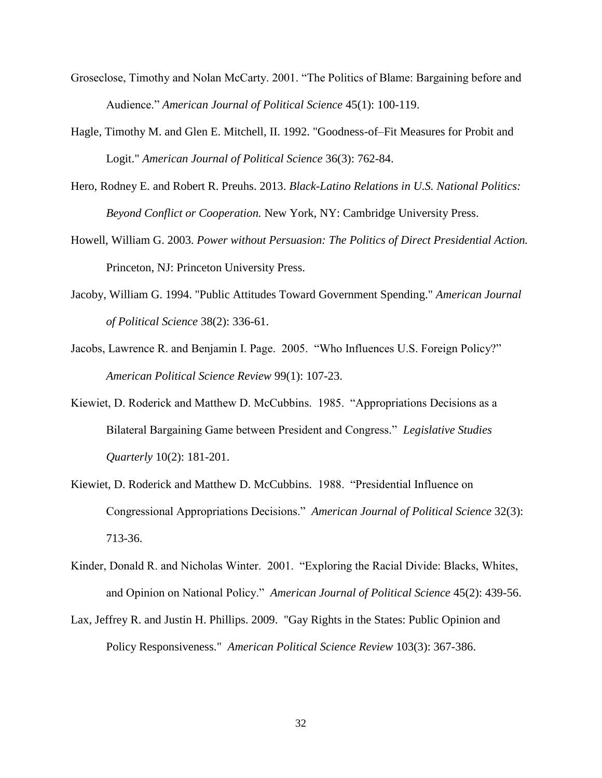- Groseclose, Timothy and Nolan McCarty. 2001. "The Politics of Blame: Bargaining before and Audience." *American Journal of Political Science* 45(1): 100-119.
- Hagle, Timothy M. and Glen E. Mitchell, II. 1992. "Goodness-of–Fit Measures for Probit and Logit." *American Journal of Political Science* 36(3): 762-84.
- Hero, Rodney E. and Robert R. Preuhs. 2013. *Black-Latino Relations in U.S. National Politics: Beyond Conflict or Cooperation.* New York, NY: Cambridge University Press.
- Howell, William G. 2003. *Power without Persuasion: The Politics of Direct Presidential Action.*  Princeton, NJ: Princeton University Press.
- Jacoby, William G. 1994. "Public Attitudes Toward Government Spending." *American Journal of Political Science* 38(2): 336-61.
- Jacobs, Lawrence R. and Benjamin I. Page. 2005. "Who Influences U.S. Foreign Policy?" *American Political Science Review* 99(1): 107-23.
- Kiewiet, D. Roderick and Matthew D. McCubbins. 1985. "Appropriations Decisions as a Bilateral Bargaining Game between President and Congress." *Legislative Studies Quarterly* 10(2): 181-201.
- Kiewiet, D. Roderick and Matthew D. McCubbins. 1988. "Presidential Influence on Congressional Appropriations Decisions." *American Journal of Political Science* 32(3): 713-36.
- Kinder, Donald R. and Nicholas Winter. 2001. "Exploring the Racial Divide: Blacks, Whites, and Opinion on National Policy." *American Journal of Political Science* 45(2): 439-56.
- Lax, Jeffrey R. and Justin H. Phillips. 2009. "Gay Rights in the States: Public Opinion and Policy Responsiveness." *American Political Science Review* 103(3): 367-386.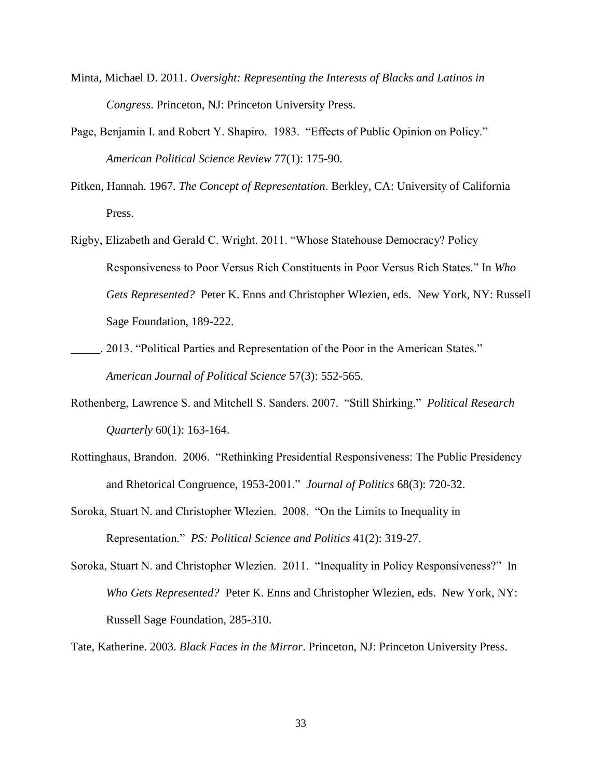- Minta, Michael D. 2011. *Oversight: Representing the Interests of Blacks and Latinos in Congress*. Princeton, NJ: Princeton University Press.
- Page, Benjamin I. and Robert Y. Shapiro. 1983. "Effects of Public Opinion on Policy." *American Political Science Review* 77(1): 175-90.
- Pitken, Hannah. 1967. *The Concept of Representation*. Berkley, CA: University of California Press.
- Rigby, Elizabeth and Gerald C. Wright. 2011. "Whose Statehouse Democracy? Policy Responsiveness to Poor Versus Rich Constituents in Poor Versus Rich States." In *Who Gets Represented?* Peter K. Enns and Christopher Wlezien, eds. New York, NY: Russell Sage Foundation, 189-222.
- \_\_\_\_\_. 2013. "Political Parties and Representation of the Poor in the American States." *American Journal of Political Science* 57(3): 552-565.
- Rothenberg, Lawrence S. and Mitchell S. Sanders. 2007. "Still Shirking." *Political Research Quarterly* 60(1): 163-164.
- Rottinghaus, Brandon. 2006. "Rethinking Presidential Responsiveness: The Public Presidency and Rhetorical Congruence, 1953-2001." *Journal of Politics* 68(3): 720-32.
- Soroka, Stuart N. and Christopher Wlezien. 2008. "On the Limits to Inequality in Representation." *PS: Political Science and Politics* 41(2): 319-27.
- Soroka, Stuart N. and Christopher Wlezien. 2011. "Inequality in Policy Responsiveness?" In *Who Gets Represented?* Peter K. Enns and Christopher Wlezien, eds. New York, NY: Russell Sage Foundation, 285-310.

Tate, Katherine. 2003. *Black Faces in the Mirror*. Princeton, NJ: Princeton University Press.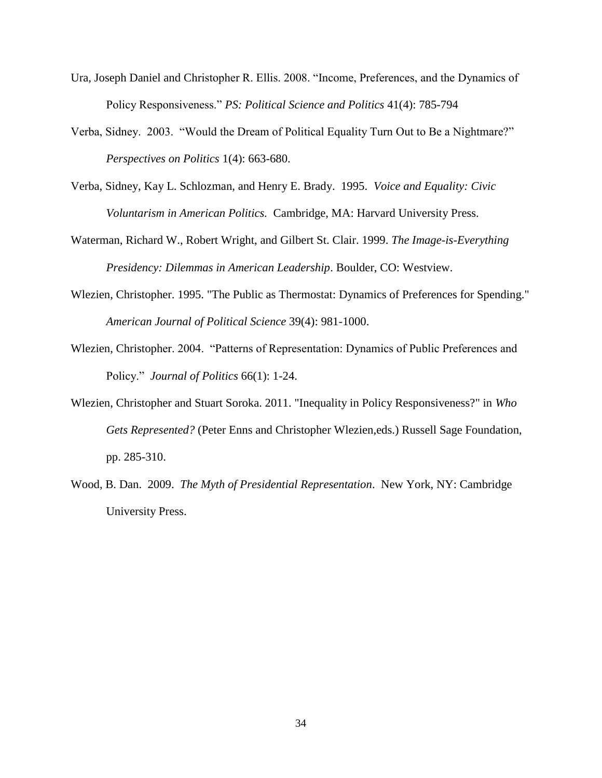- Ura, Joseph Daniel and Christopher R. Ellis. 2008. "Income, Preferences, and the Dynamics of Policy Responsiveness." *PS: Political Science and Politics* 41(4): 785-794
- Verba, Sidney. 2003. "Would the Dream of Political Equality Turn Out to Be a Nightmare?" *Perspectives on Politics* 1(4): 663-680.
- Verba, Sidney, Kay L. Schlozman, and Henry E. Brady. 1995. *Voice and Equality: Civic Voluntarism in American Politics.* Cambridge, MA: Harvard University Press.
- Waterman, Richard W., Robert Wright, and Gilbert St. Clair. 1999. *The Image-is-Everything Presidency: Dilemmas in American Leadership*. Boulder, CO: Westview.
- Wlezien, Christopher. 1995. "The Public as Thermostat: Dynamics of Preferences for Spending." *American Journal of Political Science* 39(4): 981-1000.
- Wlezien, Christopher. 2004. "Patterns of Representation: Dynamics of Public Preferences and Policy." *Journal of Politics* 66(1): 1-24.
- Wlezien, Christopher and Stuart Soroka. 2011. "Inequality in Policy Responsiveness?" in *Who Gets Represented?* (Peter Enns and Christopher Wlezien,eds.) Russell Sage Foundation, pp. 285-310.
- Wood, B. Dan. 2009. *The Myth of Presidential Representation*. New York, NY: Cambridge University Press.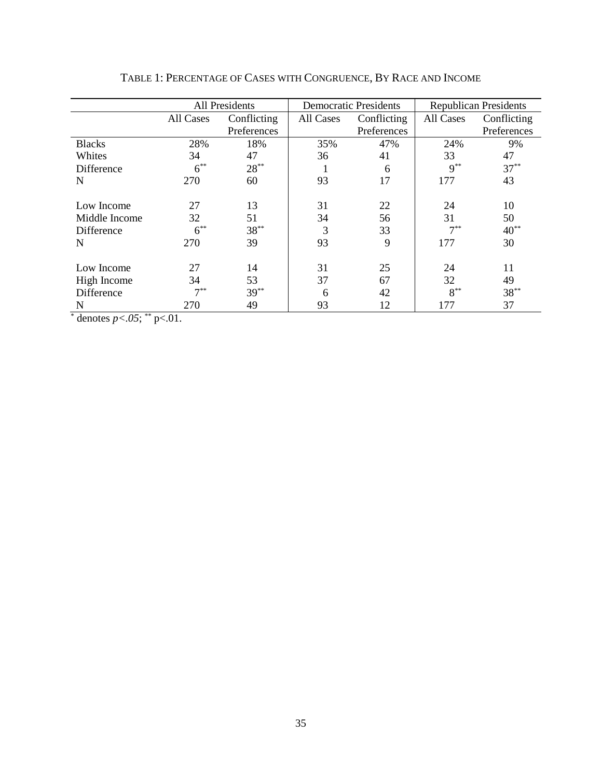|                                | All Presidents |             |           | <b>Democratic Presidents</b> | <b>Republican Presidents</b> |             |
|--------------------------------|----------------|-------------|-----------|------------------------------|------------------------------|-------------|
|                                | All Cases      | Conflicting | All Cases | Conflicting                  | All Cases                    | Conflicting |
|                                |                | Preferences |           | Preferences                  |                              | Preferences |
| <b>Blacks</b>                  | 28%            | 18%         | 35%       | 47%                          | 24%                          | 9%          |
| Whites                         | 34             | 47          | 36        | 41                           | 33                           | 47          |
| Difference                     | $6^{**}$       | $28***$     |           | 6                            | $9***$                       | $37***$     |
| N                              | 270            | 60          | 93        | 17                           | 177                          | 43          |
|                                |                |             |           |                              |                              |             |
| Low Income                     | 27             | 13          | 31        | 22                           | 24                           | 10          |
| Middle Income                  | 32             | 51          | 34        | 56                           | 31                           | 50          |
| Difference                     | $6^{**}$       | $38***$     | 3         | 33                           | $7**$                        | $40^{**}$   |
| N                              | 270            | 39          | 93        | 9                            | 177                          | 30          |
|                                |                |             |           |                              |                              |             |
| Low Income                     | 27             | 14          | 31        | 25                           | 24                           | 11          |
| High Income                    | 34             | 53          | 37        | 67                           | 32                           | 49          |
| Difference                     | $7***$         | $39***$     | 6         | 42                           | $8^{**}$                     | $38***$     |
| N<br>$\ddot{\phantom{1}}$<br>¢ | 270            | 49          | 93        | 12                           | 177                          | 37          |

TABLE 1: PERCENTAGE OF CASES WITH CONGRUENCE, BY RACE AND INCOME

 $*$  denotes  $p < .05;$   $*$   $p < .01$ .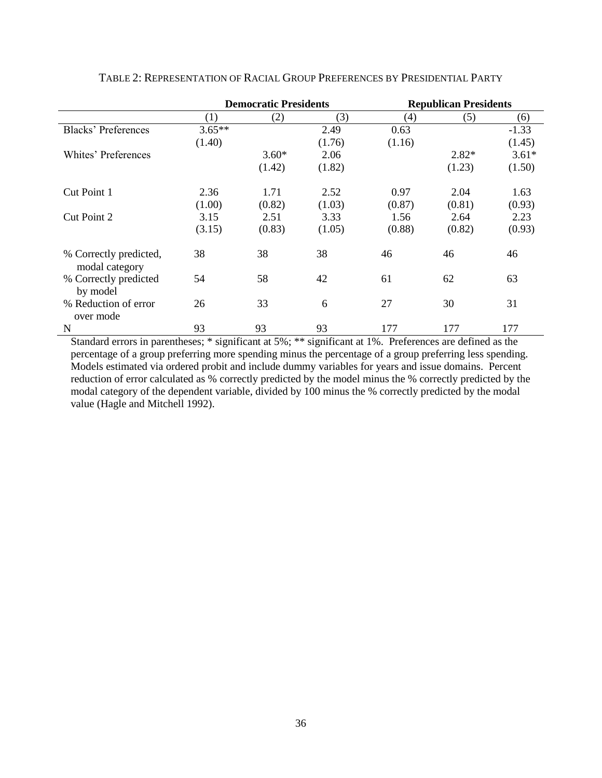|                                          | <b>Democratic Presidents</b> |         |        | <b>Republican Presidents</b> |         |         |
|------------------------------------------|------------------------------|---------|--------|------------------------------|---------|---------|
|                                          | (1)                          | (2)     | (3)    | (4)                          | (5)     | (6)     |
| <b>Blacks' Preferences</b>               | $3.65**$                     |         | 2.49   | 0.63                         |         | $-1.33$ |
|                                          | (1.40)                       |         | (1.76) | (1.16)                       |         | (1.45)  |
| Whites' Preferences                      |                              | $3.60*$ | 2.06   |                              | $2.82*$ | $3.61*$ |
|                                          |                              | (1.42)  | (1.82) |                              | (1.23)  | (1.50)  |
| Cut Point 1                              | 2.36                         | 1.71    | 2.52   | 0.97                         | 2.04    | 1.63    |
|                                          | (1.00)                       | (0.82)  | (1.03) | (0.87)                       | (0.81)  | (0.93)  |
| Cut Point 2                              | 3.15                         | 2.51    | 3.33   | 1.56                         | 2.64    | 2.23    |
|                                          | (3.15)                       | (0.83)  | (1.05) | (0.88)                       | (0.82)  | (0.93)  |
| % Correctly predicted,<br>modal category | 38                           | 38      | 38     | 46                           | 46      | 46      |
| % Correctly predicted<br>by model        | 54                           | 58      | 42     | 61                           | 62      | 63      |
| % Reduction of error<br>over mode        | 26                           | 33      | 6      | 27                           | 30      | 31      |
| N                                        | 93                           | 93      | 93     | 177                          | 177     | 177     |

TABLE 2: REPRESENTATION OF RACIAL GROUP PREFERENCES BY PRESIDENTIAL PARTY

Standard errors in parentheses; \* significant at 5%; \*\* significant at 1%. Preferences are defined as the percentage of a group preferring more spending minus the percentage of a group preferring less spending. Models estimated via ordered probit and include dummy variables for years and issue domains. Percent reduction of error calculated as % correctly predicted by the model minus the % correctly predicted by the modal category of the dependent variable, divided by 100 minus the % correctly predicted by the modal value (Hagle and Mitchell 1992).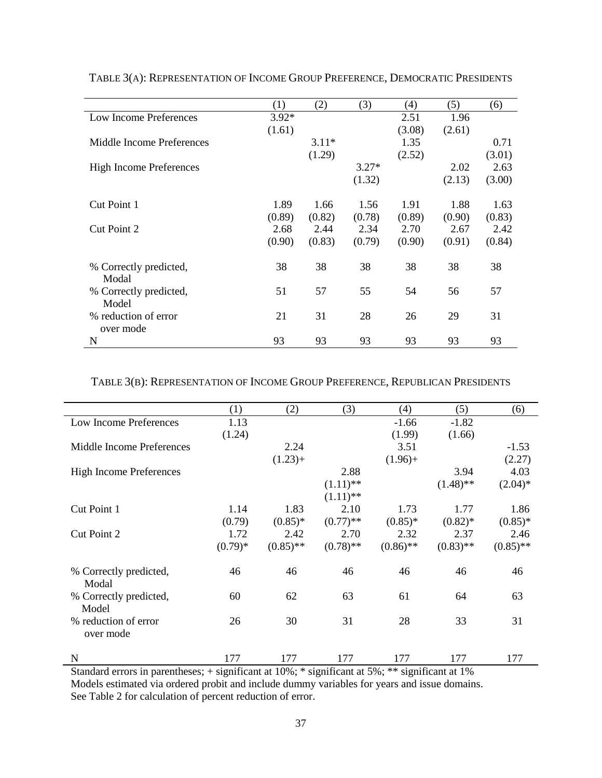|                                | (1)     | (2)     | (3)     | $\left( 4\right)$ | (5)    | (6)    |
|--------------------------------|---------|---------|---------|-------------------|--------|--------|
| Low Income Preferences         | $3.92*$ |         |         | 2.51              | 1.96   |        |
|                                | (1.61)  |         |         | (3.08)            | (2.61) |        |
| Middle Income Preferences      |         | $3.11*$ |         | 1.35              |        | 0.71   |
|                                |         | (1.29)  |         | (2.52)            |        | (3.01) |
| <b>High Income Preferences</b> |         |         | $3.27*$ |                   | 2.02   | 2.63   |
|                                |         |         | (1.32)  |                   | (2.13) | (3.00) |
|                                |         |         |         |                   |        |        |
| Cut Point 1                    | 1.89    | 1.66    | 1.56    | 1.91              | 1.88   | 1.63   |
|                                | (0.89)  | (0.82)  | (0.78)  | (0.89)            | (0.90) | (0.83) |
| Cut Point 2                    | 2.68    | 2.44    | 2.34    | 2.70              | 2.67   | 2.42   |
|                                | (0.90)  | (0.83)  | (0.79)  | (0.90)            | (0.91) | (0.84) |
| % Correctly predicted,         | 38      | 38      | 38      | 38                | 38     | 38     |
| Modal                          |         |         |         |                   |        |        |
| % Correctly predicted,         | 51      | 57      | 55      | 54                | 56     | 57     |
| Model                          |         |         |         |                   |        |        |
| % reduction of error           | 21      | 31      | 28      | 26                | 29     | 31     |
| over mode                      |         |         |         |                   |        |        |
| N                              | 93      | 93      | 93      | 93                | 93     | 93     |

TABLE 3(A): REPRESENTATION OF INCOME GROUP PREFERENCE, DEMOCRATIC PRESIDENTS

# TABLE 3(B): REPRESENTATION OF INCOME GROUP PREFERENCE, REPUBLICAN PRESIDENTS

|                                   | (1)       | (2)         | (3)         | (4)         | (5)         | (6)         |
|-----------------------------------|-----------|-------------|-------------|-------------|-------------|-------------|
| Low Income Preferences            | 1.13      |             |             | $-1.66$     | $-1.82$     |             |
|                                   | (1.24)    |             |             | (1.99)      | (1.66)      |             |
| Middle Income Preferences         |           | 2.24        |             | 3.51        |             | $-1.53$     |
|                                   |           | $(1.23) +$  |             | $(1.96) +$  |             | (2.27)      |
| <b>High Income Preferences</b>    |           |             | 2.88        |             | 3.94        | 4.03        |
|                                   |           |             | $(1.11)$ ** |             | $(1.48)$ ** | $(2.04)^*$  |
|                                   |           |             | $(1.11)$ ** |             |             |             |
| Cut Point 1                       | 1.14      | 1.83        | 2.10        | 1.73        | 1.77        | 1.86        |
|                                   | (0.79)    | $(0.85)*$   | $(0.77)$ ** | $(0.85)*$   | $(0.82)$ *  | $(0.85)*$   |
| Cut Point 2                       | 1.72      | 2.42        | 2.70        | 2.32        | 2.37        | 2.46        |
|                                   | $(0.79)*$ | $(0.85)$ ** | $(0.78)$ ** | $(0.86)$ ** | $(0.83)$ ** | $(0.85)$ ** |
| % Correctly predicted,<br>Modal   | 46        | 46          | 46          | 46          | 46          | 46          |
| % Correctly predicted,<br>Model   | 60        | 62          | 63          | 61          | 64          | 63          |
| % reduction of error<br>over mode | 26        | 30          | 31          | 28          | 33          | 31          |
| N                                 | 177       | 177         | 177         | 177         | 177         | 177         |

Standard errors in parentheses; + significant at 10%; \* significant at 5%; \*\* significant at 1% Models estimated via ordered probit and include dummy variables for years and issue domains. See Table 2 for calculation of percent reduction of error.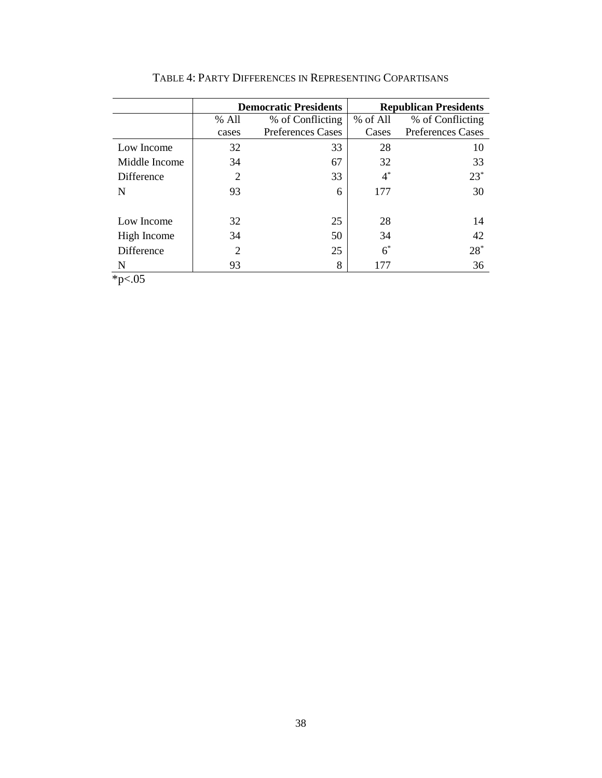|               |                | <b>Democratic Presidents</b> | <b>Republican Presidents</b> |                          |  |  |
|---------------|----------------|------------------------------|------------------------------|--------------------------|--|--|
|               | % All          | % of Conflicting             | % of All                     | % of Conflicting         |  |  |
|               | cases          | <b>Preferences Cases</b>     | Cases                        | <b>Preferences Cases</b> |  |  |
| Low Income    | 32             | 33                           | 28                           | 10                       |  |  |
| Middle Income | 34             | 67                           | 32                           | 33                       |  |  |
| Difference    | 2              | 33                           | $4^*$                        | $23*$                    |  |  |
| N             | 93             | 6                            | 177                          | 30                       |  |  |
|               |                |                              |                              |                          |  |  |
| Low Income    | 32             | 25                           | 28                           | 14                       |  |  |
| High Income   | 34             | 50                           | 34                           | 42                       |  |  |
| Difference    | $\overline{2}$ | 25                           | $6^*$                        | $28*$                    |  |  |
| N             | 93             | 8                            | 177                          | 36                       |  |  |

TABLE 4: PARTY DIFFERENCES IN REPRESENTING COPARTISANS

 $*_{p<.05}$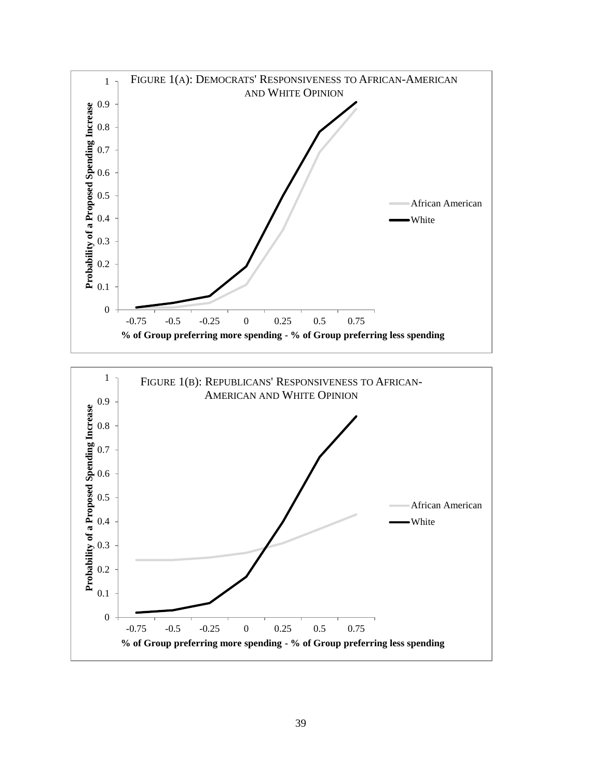